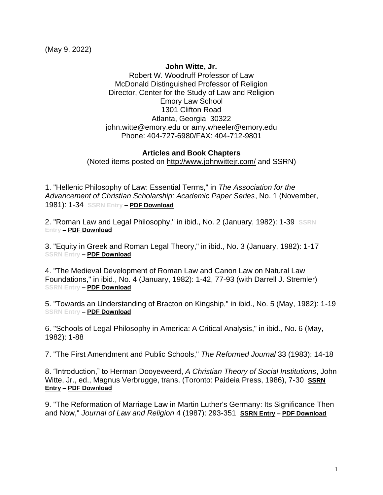(May 9, 2022)

## **John Witte, Jr.**

Robert W. Woodruff Professor of Law McDonald Distinguished Professor of Religion Director, Center for the Study of Law and Religion Emory Law School 1301 Clifton Road Atlanta, Georgia 30322 iohn.witte@emory.edu or [amy.wheeler@emory.edu](mailto:awheeler@law.emory.edu) Phone: 404-727-6980/FAX: 404-712-9801

## **Articles and Book Chapters**

(Noted items posted on<http://www.johnwittejr.com/> and SSRN)

1. "Hellenic Philosophy of Law: Essential Terms," in *The Association for the Advancement of Christian Scholarship: Academic Paper Series*, No. 1 (November, 1981): 1-34 **SSRN Entry – [PDF Download](https://www.johnwittejr.com/uploads/9/0/1/4/90145433/a1.pdf)**

2. "Roman Law and Legal Philosophy," in ibid., No. 2 (January, 1982): 1-39 **SSRN Entry – [PDF Download](https://www.johnwittejr.com/uploads/9/0/1/4/90145433/a2.pdf)**

3. "Equity in Greek and Roman Legal Theory," in ibid., No. 3 (January, 1982): 1-17 **SSRN Entry – [PDF Download](https://www.johnwittejr.com/uploads/9/0/1/4/90145433/a3.pdf)**

4. "The Medieval Development of Roman Law and Canon Law on Natural Law Foundations," in ibid., No. 4 (January, 1982): 1-42, 77-93 (with Darrell J. Stremler) **SSRN Entry – [PDF Download](https://www.johnwittejr.com/uploads/9/0/1/4/90145433/a4.pdf)**

5. "Towards an Understanding of Bracton on Kingship," in ibid., No. 5 (May, 1982): 1-19 **SSRN Entry – [PDF Download](https://www.johnwittejr.com/uploads/9/0/1/4/90145433/a5.pdf)**

6. "Schools of Legal Philosophy in America: A Critical Analysis," in ibid*.*, No. 6 (May, 1982): 1-88

7. "The First Amendment and Public Schools," *The Reformed Journal* 33 (1983): 14-18

8. "Introduction," to Herman Dooyeweerd, *A Christian Theory of Social Institutions*, John Witte, Jr., ed., Magnus Verbrugge, trans. (Toronto: Paideia Press, 1986), 7-30 **[SSRN](https://papers.ssrn.com/sol3/papers.cfm?abstract_id=2699307)  [Entry](https://papers.ssrn.com/sol3/papers.cfm?abstract_id=2699307) – [PDF Download](https://www.johnwittejr.com/uploads/9/0/1/4/90145433/a8.pdf)**

9. "The Reformation of Marriage Law in Martin Luther's Germany: Its Significance Then and Now," *Journal of Law and Religion* 4 (1987): 293-351 **[SSRN Entry](https://papers.ssrn.com/sol3/papers.cfm?abstract_id=1851129) – [PDF Download](https://www.johnwittejr.com/uploads/5/4/6/6/54662393/a9.pdf)**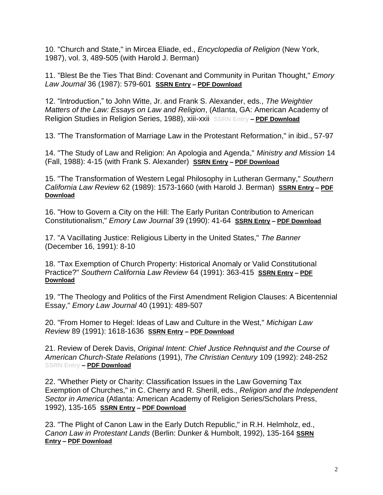10. "Church and State," in Mircea Eliade, ed., *Encyclopedia of Religion* (New York, 1987), vol. 3, 489-505 (with Harold J. Berman)

11. "Blest Be the Ties That Bind: Covenant and Community in Puritan Thought," *Emory Law Journal* 36 (1987): 579-601 **[SSRN Entry](https://papers.ssrn.com/sol3/papers.cfm?abstract_id=1851232) – [PDF Download](https://www.johnwittejr.com/uploads/9/0/1/4/90145433/a11.pdf)**

12. "Introduction," to John Witte, Jr. and Frank S. Alexander, eds., *The Weightier Matters of the Law: Essays on Law and Religion*, (Atlanta, GA: American Academy of Religion Studies in Religion Series, 1988), xiii-xxii **SSRN Entry – [PDF Download](https://www.johnwittejr.com/uploads/5/4/6/6/54662393/a12.pdf)**

13. "The Transformation of Marriage Law in the Protestant Reformation," in ibid., 57-97

14. "The Study of Law and Religion: An Apologia and Agenda," *Ministry and Mission* 14 (Fall, 1988): 4-15 (with Frank S. Alexander) **[SSRN Entry](https://papers.ssrn.com/sol3/papers.cfm?abstract_id=1851219) – [PDF Download](https://www.johnwittejr.com/uploads/9/0/1/4/90145433/a14.pdf)**

15. "The Transformation of Western Legal Philosophy in Lutheran Germany," *Southern California Law Review* 62 (1989): 1573-1660 (with Harold J. Berman) **[SSRN Entry](https://papers.ssrn.com/sol3/papers.cfm?abstract_id=1851133) – [PDF](https://www.johnwittejr.com/uploads/9/0/1/4/90145433/a15.pdf)  [Download](https://www.johnwittejr.com/uploads/9/0/1/4/90145433/a15.pdf)**

16. "How to Govern a City on the Hill: The Early Puritan Contribution to American Constitutionalism," *Emory Law Journal* 39 (1990): 41-64 **[SSRN Entry](https://papers.ssrn.com/sol3/papers.cfm?abstract_id=1851134) – [PDF Download](https://www.johnwittejr.com/uploads/9/0/1/4/90145433/a16.pdf)**

17. "A Vacillating Justice: Religious Liberty in the United States," *The Banner*  (December 16, 1991): 8-10

18. "Tax Exemption of Church Property: Historical Anomaly or Valid Constitutional Practice?" *Southern California Law Review* 64 (1991): 363-415 **[SSRN Entry](https://papers.ssrn.com/sol3/papers.cfm?abstract_id=1851105) – [PDF](https://www.johnwittejr.com/uploads/9/0/1/4/90145433/a18.pdf)  [Download](https://www.johnwittejr.com/uploads/9/0/1/4/90145433/a18.pdf)**

19. "The Theology and Politics of the First Amendment Religion Clauses: A Bicentennial Essay," *Emory Law Journal* 40 (1991): 489-507

20. "From Homer to Hegel: Ideas of Law and Culture in the West," *Michigan Law Review* 89 (1991): 1618-1636 **[SSRN Entry](https://papers.ssrn.com/sol3/papers.cfm?abstract_id=1669584) – [PDF Download](https://www.johnwittejr.com/uploads/9/0/1/4/90145433/a20.pdf)**

21. Review of Derek Davis, *Original Intent: Chief Justice Rehnquist and the Course of American Church-State Relations* (1991), *The Christian Century* 109 (1992): 248-252 **SSRN Entry – [PDF Download](https://www.johnwittejr.com/uploads/9/0/1/4/90145433/a21.pdf)**

22. "Whether Piety or Charity: Classification Issues in the Law Governing Tax Exemption of Churches," in C. Cherry and R. Sherill, eds., *Religion and the Independent Sector in America* (Atlanta: American Academy of Religion Series/Scholars Press, 1992), 135-165 **[SSRN Entry](https://papers.ssrn.com/sol3/papers.cfm?abstract_id=1851246) – [PDF Download](https://www.johnwittejr.com/uploads/5/4/6/6/54662393/a22.pdf)**

23. "The Plight of Canon Law in the Early Dutch Republic," in R.H. Helmholz, ed., *Canon Law in Protestant Lands* (Berlin: Dunker & Humbolt, 1992), 135-164 **[SSRN](https://papers.ssrn.com/sol3/papers.cfm?abstract_id=1851135)  [Entry](https://papers.ssrn.com/sol3/papers.cfm?abstract_id=1851135) – [PDF Download](https://www.johnwittejr.com/uploads/9/0/1/4/90145433/a23.pdf)**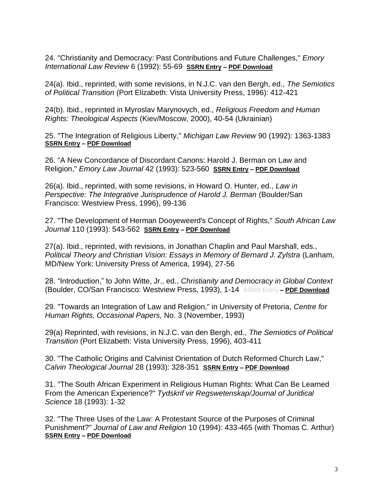24. "Christianity and Democracy: Past Contributions and Future Challenges," *Emory International Law Review* 6 (1992): 55-69 **[SSRN Entry](https://papers.ssrn.com/sol3/papers.cfm?abstract_id=1851123) – [PDF Download](https://www.johnwittejr.com/uploads/9/0/1/4/90145433/a24.pdf)**

24(a). Ibid., reprinted, with some revisions, in N.J.C. van den Bergh, ed., *The Semiotics of Political Transition* (Port Elizabeth: Vista University Press, 1996): 412-421

24(b). Ibid., reprinted in Myroslav Marynovych, ed., *Religious Freedom and Human Rights: Theological Aspects* (Kiev/Moscow, 2000), 40-54 (Ukrainian)

25. "The Integration of Religious Liberty," *Michigan Law Review* 90 (1992): 1363-1383 **[SSRN Entry](https://papers.ssrn.com/sol3/papers.cfm?abstract_id=1669605) – [PDF Download](https://www.johnwittejr.com/uploads/9/0/1/4/90145433/a25.pdf)**

26. "A New Concordance of Discordant Canons: Harold J. Berman on Law and Religion," *Emory Law Journal* 42 (1993): 523-560 **[SSRN Entry](https://papers.ssrn.com/sol3/papers.cfm?abstract_id=1851136) – [PDF Download](https://www.johnwittejr.com/uploads/9/0/1/4/90145433/a26.pdf)**

26(a). Ibid., reprinted, with some revisions, in Howard O. Hunter, ed., *Law in Perspective: The Integrative Jurisprudence of Harold J. Berman (Boulder/San*) Francisco: Westview Press, 1996), 99-136

27. "The Development of Herman Dooyeweerd's Concept of Rights," *South African Law Journal* 110 (1993): 543-562 **[SSRN Entry](https://papers.ssrn.com/sol3/papers.cfm?abstract_id=1851248) – [PDF Download](https://www.johnwittejr.com/uploads/5/4/6/6/54662393/a27.pdf)**

27(a). Ibid., reprinted, with revisions, in Jonathan Chaplin and Paul Marshall, eds., *Political Theory and Christian Vision: Essays in Memory of Bernard J. Zylstra (Lanham,* MD/New York: University Press of America, 1994), 27-56

28. "Introduction," to John Witte, Jr., ed., *Christianity and Democracy in Global Context* (Boulder, CO/San Francisco: Westview Press, 1993), 1-14 **SSRN Entry – [PDF Download](https://www.johnwittejr.com/uploads/9/0/1/4/90145433/a28.pdf)**

29. "Towards an Integration of Law and Religion," in University of Pretoria, *Centre for Human Rights, Occasional Papers,* No. 3 (November, 1993)

29(a) Reprinted, with revisions, in N.J.C. van den Bergh, ed., *The Semiotics of Political Transition* (Port Elizabeth: Vista University Press, 1996), 403-411

30. "The Catholic Origins and Calvinist Orientation of Dutch Reformed Church Law," *Calvin Theological Journal* 28 (1993): 328-351 **[SSRN Entry](https://papers.ssrn.com/sol3/papers.cfm?abstract_id=1669567) – [PDF Download](https://www.johnwittejr.com/uploads/9/0/1/4/90145433/a30.pdf)**

31. "The South African Experiment in Religious Human Rights: What Can Be Learned From the American Experience?" *Tydskrif vir Regswetenskap/Journal of Juridical Science* 18 (1993): 1-32

32. "The Three Uses of the Law: A Protestant Source of the Purposes of Criminal Punishment?" *Journal of Law and Religion* 10 (1994): 433-465 (with Thomas C. Arthur) **[SSRN Entry](https://papers.ssrn.com/sol3/papers.cfm?abstract_id=1851124) – [PDF Download](https://www.johnwittejr.com/uploads/9/0/1/4/90145433/a32.pdf)**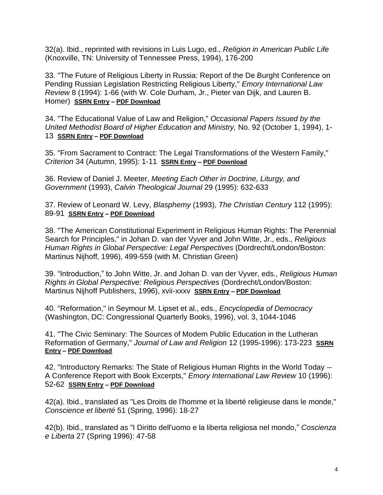32(a). Ibid., reprinted with revisions in Luis Lugo, ed., *Religion in American Public Life* (Knoxville, TN: University of Tennessee Press, 1994), 176-200

33. "The Future of Religious Liberty in Russia: Report of the De Burght Conference on Pending Russian Legislation Restricting Religious Liberty," *Emory International Law Review* 8 (1994): 1-66 (with W. Cole Durham, Jr., Pieter van Dijk, and Lauren B. Homer) **[SSRN Entry](https://papers.ssrn.com/sol3/papers.cfm?abstract_id=1863583) – [PDF Download](https://www.johnwittejr.com/uploads/9/0/1/4/90145433/a33.pdf)**

34. "The Educational Value of Law and Religion," *Occasional Papers Issued by the United Methodist Board of Higher Education and Ministry,* No. 92 (October 1, 1994), 1- 13 **[SSRN Entry](https://papers.ssrn.com/sol3/papers.cfm?abstract_id=3519500) – [PDF Download](https://www.johnwittejr.com/uploads/9/0/1/4/90145433/a34.pdf)**

35. "From Sacrament to Contract: The Legal Transformations of the Western Family," *Criterion* 34 (Autumn, 1995): 1-11 **[SSRN Entry](https://papers.ssrn.com/sol3/papers.cfm?abstract_id=1851242) – [PDF Download](https://www.johnwittejr.com/uploads/9/0/1/4/90145433/a35.pdf)**

36. Review of Daniel J. Meeter, *Meeting Each Other in Doctrine, Liturgy, and Government* (1993), *Calvin Theological Journal* 29 (1995): 632-633

37. Review of Leonard W. Levy, *Blasphemy* (1993), *The Christian Century* 112 (1995): 89-91 **[SSRN Entry](https://papers.ssrn.com/sol3/papers.cfm?abstract_id=1669608) – [PDF Download](https://www.johnwittejr.com/uploads/9/0/1/4/90145433/a37.pdf)**

38. "The American Constitutional Experiment in Religious Human Rights: The Perennial Search for Principles," in Johan D. van der Vyver and John Witte, Jr., eds., *Religious Human Rights in Global Perspective: Legal Perspectives* (Dordrecht/London/Boston: Martinus Nijhoff, 1996), 499-559 (with M. Christian Green)

39. "Introduction," to John Witte, Jr. and Johan D. van der Vyver, eds., *Religious Human Rights in Global Perspective: Religious Perspectives* (Dordrecht/London/Boston: Martinus Nijhoff Publishers, 1996), xvii-xxxv **[SSRN Entry](https://papers.ssrn.com/sol3/papers.cfm?abstract_id=3519497) – [PDF Download](https://www.johnwittejr.com/uploads/9/0/1/4/90145433/a39.pdf)**

40. "Reformation," in Seymour M. Lipset et al., eds., *Encyclopedia of Democracy* (Washington, DC: Congressional Quarterly Books, 1996), vol. 3, 1044-1046

41. "The Civic Seminary: The Sources of Modern Public Education in the Lutheran Reformation of Germany," *Journal of Law and Religion* 12 (1995-1996): 173-223 **[SSRN](https://papers.ssrn.com/sol3/papers.cfm?abstract_id=1851126)  [Entry](https://papers.ssrn.com/sol3/papers.cfm?abstract_id=1851126) – [PDF Download](https://www.johnwittejr.com/uploads/9/0/1/4/90145433/a41.pdf)**

42. "Introductory Remarks: The State of Religious Human Rights in the World Today -- A Conference Report with Book Excerpts," *Emory International Law Review* 10 (1996): 52-62 **[SSRN Entry](https://papers.ssrn.com/sol3/papers.cfm?abstract_id=3519494) – [PDF Download](https://www.johnwittejr.com/uploads/9/0/1/4/90145433/a42.pdf)**

42(a). Ibid., translated as "Les Droits de l'homme et la liberté religieuse dans le monde," *Conscience et liberté* 51 (Spring, 1996): 18-27

42(b). Ibid., translated as "I Diritto dell'uomo e la liberta religiosa nel mondo," *Coscienza e Liberta* 27 (Spring 1996): 47-58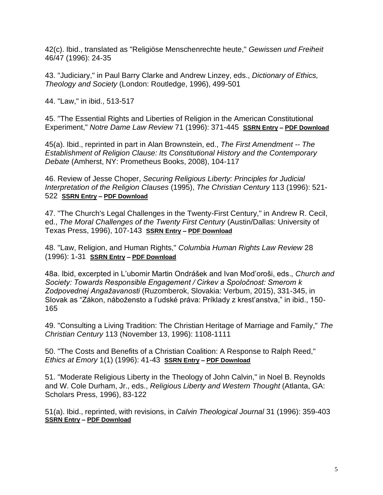42(c). Ibid., translated as "Religiöse Menschenrechte heute," *Gewissen und Freiheit* 46/47 (1996): 24-35

43. "Judiciary," in Paul Barry Clarke and Andrew Linzey, eds., *Dictionary of Ethics, Theology and Society* (London: Routledge, 1996), 499-501

44. "Law," in ibid., 513-517

45. "The Essential Rights and Liberties of Religion in the American Constitutional Experiment," *Notre Dame Law Review* 71 (1996): 371-445 **[SSRN Entry](https://papers.ssrn.com/sol3/papers.cfm?abstract_id=1851234) – [PDF Download](https://www.johnwittejr.com/uploads/9/0/1/4/90145433/a45.pdf)**

45(a). Ibid., reprinted in part in Alan Brownstein, ed., *The First Amendment -- The Establishment of Religion Clause: Its Constitutional History and the Contemporary Debate* (Amherst, NY: Prometheus Books, 2008), 104-117

46. Review of Jesse Choper, *Securing Religious Liberty: Principles for Judicial Interpretation of the Religion Clauses* (1995), *The Christian Century* 113 (1996): 521- 522 **[SSRN Entry](https://papers.ssrn.com/sol3/papers.cfm?abstract_id=3519491) – [PDF Download](https://www.johnwittejr.com/uploads/9/0/1/4/90145433/a46.pdf)**

47. "The Church's Legal Challenges in the Twenty-First Century," in Andrew R. Cecil, ed., *The Moral Challenges of the Twenty First Century* (Austin/Dallas: University of Texas Press, 1996), 107-143 **[SSRN Entry](https://papers.ssrn.com/sol3/papers.cfm?abstract_id=1851235) – [PDF Download](https://www.johnwittejr.com/uploads/9/0/1/4/90145433/a47.pdf)**

48. "Law, Religion, and Human Rights," *Columbia Human Rights Law Review* 28 (1996): 1-31 **[SSRN Entry](https://papers.ssrn.com/sol3/papers.cfm?abstract_id=1851137) – [PDF Download](https://www.johnwittejr.com/uploads/9/0/1/4/90145433/a48.pdf)**

48a. Ibid, excerpted in L'ubomir Martin Ondrášek and Ivan Mod'oroši, eds., *Church and Society: Towards Responsible Engagement / Cirkev a Spoločnost: Smerom k Zodpovednej Angažavanosti* (Ruzomberok, Slovakia: Verbum, 2015), 331-345, in Slovak as "Zákon, nábožensto a l'udské práva: Príklady z krest'anstva," in ibid., 150- 165

49. "Consulting a Living Tradition: The Christian Heritage of Marriage and Family," *The Christian Century* 113 (November 13, 1996): 1108-1111

50. "The Costs and Benefits of a Christian Coalition: A Response to Ralph Reed," *Ethics at Emory* 1(1) (1996): 41-43 **[SSRN Entry](https://papers.ssrn.com/sol3/papers.cfm?abstract_id=1851233) – [PDF Download](https://www.johnwittejr.com/uploads/9/0/1/4/90145433/a50.pdf)**

51. "Moderate Religious Liberty in the Theology of John Calvin," in Noel B. Reynolds and W. Cole Durham, Jr., eds., *Religious Liberty and Western Thought* (Atlanta, GA: Scholars Press, 1996), 83-122

51(a). Ibid., reprinted, with revisions, in *Calvin Theological Journal* 31 (1996): 359-403 **[SSRN Entry](https://papers.ssrn.com/sol3/papers.cfm?abstract_id=1669582) – [PDF Download](https://www.johnwittejr.com/uploads/9/0/1/4/90145433/a51a.pdf)**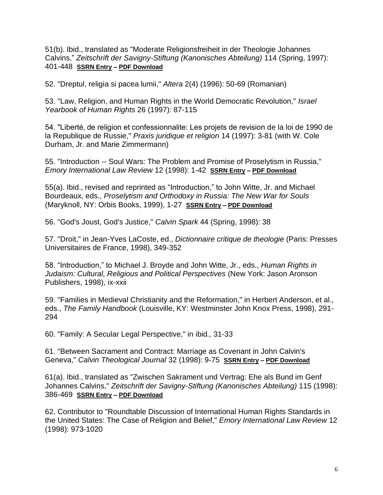51(b). Ibid., translated as "Moderate Religionsfreiheit in der Theologie Johannes Calvins," *Zeitschrift der Savigny-Stiftung (Kanonisches Abteilung)* 114 (Spring, 1997): 401-448 **[SSRN Entry](https://papers.ssrn.com/sol3/papers.cfm?abstract_id=3549969) – [PDF Download](https://www.johnwittejr.com/uploads/9/0/1/4/90145433/a51b.pdf)**

52. "Dreptul, religia si pacea lumii," *Altera* 2(4) (1996): 50-69 (Romanian)

53. "Law, Religion, and Human Rights in the World Democratic Revolution," *Israel Yearbook of Human Rights* 26 (1997): 87-115

54. "Liberté, de religion et confessionnalite: Les projets de revision de la loi de 1990 de la Republique de Russie," *Praxis juridique et religion* 14 (1997): 3-81 (with W. Cole Durham, Jr. and Marie Zimmermann)

55. "Introduction -- Soul Wars: The Problem and Promise of Proselytism in Russia," *Emory International Law Review* 12 (1998): 1-42 **[SSRN Entry](https://papers.ssrn.com/sol3/papers.cfm?abstract_id=1797809) – [PDF Download](https://www.johnwittejr.com/uploads/9/0/1/4/90145433/a55.pdf)**

55(a). Ibid., revised and reprinted as "Introduction," to John Witte, Jr. and Michael Bourdeaux, eds., *Proselytism and Orthodoxy in Russia: The New War for Souls* (Maryknoll, NY: Orbis Books, 1999), 1-27 **[SSRN Entry](https://papers.ssrn.com/sol3/papers.cfm?abstract_id=3519488) – [PDF Download](https://www.johnwittejr.com/uploads/9/0/1/4/90145433/a55a.pdf)**

56. "God's Joust, God's Justice," *Calvin Spark* 44 (Spring, 1998): 38

57. "Droit," in Jean-Yves LaCoste, ed., *Dictionnaire critique de theologie* (Paris: Presses Universitaires de France, 1998), 349-352

58. "Introduction," to Michael J. Broyde and John Witte, Jr., eds., *Human Rights in Judaism: Cultural, Religious and Political Perspectives* (New York: Jason Aronson Publishers, 1998), ix-xxii

59. "Families in Medieval Christianity and the Reformation," in Herbert Anderson, et al., eds., *The Family Handbook* (Louisville, KY: Westminster John Knox Press, 1998), 291- 294

60. "Family: A Secular Legal Perspective," in ibid*.,* 31-33

61. "Between Sacrament and Contract: Marriage as Covenant in John Calvin's Geneva," *Calvin Theological Journal* 32 (1998): 9-75 **[SSRN Entry](https://papers.ssrn.com/sol3/papers.cfm?abstract_id=1669614) – [PDF Download](https://www.johnwittejr.com/uploads/9/0/1/4/90145433/a61.pdf)**

61(a). Ibid., translated as "Zwischen Sakrament und Vertrag: Ehe als Bund im Genf Johannes Calvins," *Zeitschrift der Savigny-Stiftung (Kanonisches Abteilung)* 115 (1998): 386-469 **[SSRN Entry](https://papers.ssrn.com/sol3/papers.cfm?abstract_id=3549971) – [PDF Download](https://www.johnwittejr.com/uploads/9/0/1/4/90145433/a61a.pdf)**

62. Contributor to "Roundtable Discussion of International Human Rights Standards in the United States: The Case of Religion and Belief," *Emory International Law Review* 12 (1998): 973-1020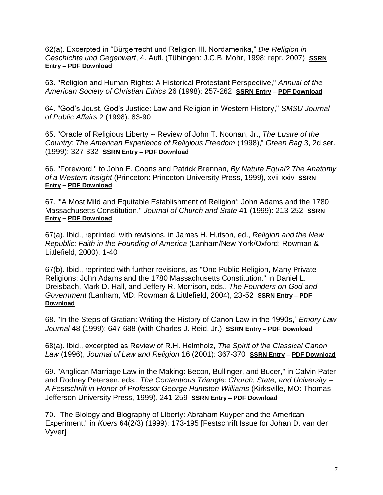62(a). Excerpted in "Bürgerrecht und Religion III. Nordamerika," *Die Religion in Geschichte und Gegenwart*, 4. Aufl. (Tübingen: J.C.B. Mohr, 1998; repr. 2007) **[SSRN](https://papers.ssrn.com/sol3/papers.cfm?abstract_id=3549977)  [Entry](https://papers.ssrn.com/sol3/papers.cfm?abstract_id=3549977) – [PDF Download](https://www.johnwittejr.com/uploads/9/0/1/4/90145433/a62a.pdf)**

63. "Religion and Human Rights: A Historical Protestant Perspective," *Annual of the American Society of Christian Ethics* 26 (1998): 257-262 **[SSRN Entry](https://papers.ssrn.com/sol3/papers.cfm?abstract_id=1797855) – [PDF Download](https://www.johnwittejr.com/uploads/9/0/1/4/90145433/a63.pdf)**

64. "God's Joust, God's Justice: Law and Religion in Western History," *SMSU Journal of Public Affairs* 2 (1998): 83-90

65. "Oracle of Religious Liberty -- Review of John T. Noonan, Jr., *The Lustre of the Country: The American Experience of Religious Freedom* (1998)," *Green Bag* 3, 2d ser. (1999): 327-332 **[SSRN Entry](https://papers.ssrn.com/sol3/papers.cfm?abstract_id=3519483) – [PDF Download](https://www.johnwittejr.com/uploads/9/0/1/4/90145433/a65.pdf)**

66. "Foreword," to John E. Coons and Patrick Brennan, *By Nature Equal? The Anatomy of a Western Insight* (Princeton: Princeton University Press, 1999), xvii-xxiv **[SSRN](https://papers.ssrn.com/sol3/papers.cfm?abstract_id=1851236)  [Entry](https://papers.ssrn.com/sol3/papers.cfm?abstract_id=1851236) – [PDF Download](https://www.johnwittejr.com/uploads/9/0/1/4/90145433/a66.pdf)**

67. "'A Most Mild and Equitable Establishment of Religion': John Adams and the 1780 Massachusetts Constitution," *Journal of Church and State* 41 (1999): 213-252 **[SSRN](https://papers.ssrn.com/sol3/papers.cfm?abstract_id=1797864)  [Entry](https://papers.ssrn.com/sol3/papers.cfm?abstract_id=1797864) – [PDF Download](https://www.johnwittejr.com/uploads/9/0/1/4/90145433/a67.pdf)**

67(a). Ibid., reprinted, with revisions, in James H. Hutson, ed., *Religion and the New Republic: Faith in the Founding of America* (Lanham/New York/Oxford: Rowman & Littlefield, 2000), 1-40

67(b). Ibid., reprinted with further revisions, as "One Public Religion, Many Private Religions: John Adams and the 1780 Massachusetts Constitution," in Daniel L. Dreisbach, Mark D. Hall, and Jeffery R. Morrison, eds., *The Founders on God and Government* (Lanham, MD: Rowman & Littlefield, 2004), 23-52 **[SSRN Entry](https://papers.ssrn.com/sol3/papers.cfm?abstract_id=753566) – [PDF](https://www.johnwittejr.com/uploads/9/0/1/4/90145433/a67b.pdf)  [Download](https://www.johnwittejr.com/uploads/9/0/1/4/90145433/a67b.pdf)**

68. "In the Steps of Gratian: Writing the History of Canon Law in the 1990s," *Emory Law Journal* 48 (1999): 647-688 (with Charles J. Reid, Jr.) **[SSRN Entry](https://papers.ssrn.com/sol3/papers.cfm?abstract_id=1851163) – [PDF Download](https://www.johnwittejr.com/uploads/9/0/1/4/90145433/a68.pdf)**

68(a). Ibid., excerpted as Review of R.H. Helmholz, *The Spirit of the Classical Canon Law* (1996), *Journal of Law and Religion* 16 (2001): 367-370 **[SSRN Entry](https://papers.ssrn.com/sol3/papers.cfm?abstract_id=1851144) – [PDF Download](https://www.johnwittejr.com/uploads/9/0/1/4/90145433/a68a.pdf)**

69. "Anglican Marriage Law in the Making: Becon, Bullinger, and Bucer," in Calvin Pater and Rodney Petersen, eds., *The Contentious Triangle: Church, State, and University -- A Festschrift in Honor of Professor George Huntston Williams* (Kirksville, MO: Thomas Jefferson University Press, 1999), 241-259 **[SSRN Entry](https://papers.ssrn.com/sol3/papers.cfm?abstract_id=1863585) – [PDF Download](https://www.johnwittejr.com/uploads/9/0/1/4/90145433/a69.pdf)**

70. "The Biology and Biography of Liberty: Abraham Kuyper and the American Experiment," in *Koers* 64(2/3) (1999): 173-195 [Festschrift Issue for Johan D. van der Vyver]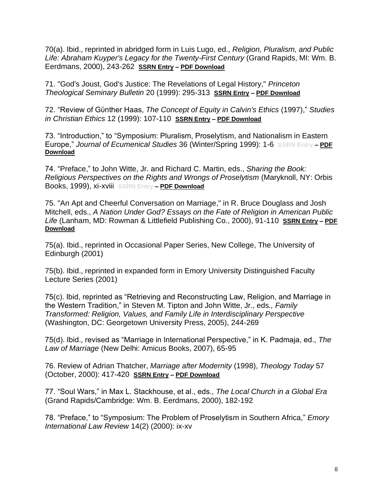70(a). Ibid., reprinted in abridged form in Luis Lugo, ed., *Religion, Pluralism, and Public Life: Abraham Kuyper's Legacy for the Twenty-First Century* (Grand Rapids, MI: Wm. B. Eerdmans, 2000), 243-262 **[SSRN Entry](https://papers.ssrn.com/sol3/papers.cfm?abstract_id=1851240) – [PDF Download](https://www.johnwittejr.com/uploads/9/0/1/4/90145433/a70a.pdf)**

71. "God's Joust, God's Justice: The Revelations of Legal History," *Princeton Theological Seminary Bulletin* 20 (1999): 295-313 **[SSRN Entry](https://papers.ssrn.com/sol3/papers.cfm?abstract_id=1863604) – [PDF Download](https://www.johnwittejr.com/uploads/9/0/1/4/90145433/a71.pdf)**

72. "Review of Gϋnther Haas, *The Concept of Equity in Calvin's Ethics* (1997)," *Studies in Christian Ethics* 12 (1999): 107-110 **[SSRN Entry](https://papers.ssrn.com/sol3/papers.cfm?abstract_id=1851241) – [PDF Download](https://www.johnwittejr.com/uploads/9/0/1/4/90145433/a72.pdf)**

73. "Introduction," to "Symposium: Pluralism, Proselytism, and Nationalism in Eastern Europe," *Journal of Ecumenical Studies* 36 (Winter/Spring 1999): 1-6 **SSRN Entry – [PDF](https://www.johnwittejr.com/uploads/9/0/1/4/90145433/a73.pdf)  [Download](https://www.johnwittejr.com/uploads/9/0/1/4/90145433/a73.pdf)**

74. "Preface," to John Witte, Jr. and Richard C. Martin, eds., *Sharing the Book: Religious Perspectives on the Rights and Wrongs of Proselytism* (Maryknoll, NY: Orbis Books, 1999), xi-xviii **SSRN Entry – [PDF Download](https://www.johnwittejr.com/uploads/9/0/1/4/90145433/a74.pdf)**

75. "An Apt and Cheerful Conversation on Marriage," in R. Bruce Douglass and Josh Mitchell, eds., *A Nation Under God? Essays on the Fate of Religion in American Public Life* (Lanham, MD: Rowman & Littlefield Publishing Co., 2000), 91-110 **[SSRN Entry](https://papers.ssrn.com/sol3/papers.cfm?abstract_id=755105) – [PDF](https://www.johnwittejr.com/uploads/9/0/1/4/90145433/a75.pdf)  [Download](https://www.johnwittejr.com/uploads/9/0/1/4/90145433/a75.pdf)**

75(a). Ibid., reprinted in Occasional Paper Series, New College, The University of Edinburgh (2001)

75(b). Ibid., reprinted in expanded form in Emory University Distinguished Faculty Lecture Series (2001)

75(c). Ibid, reprinted as "Retrieving and Reconstructing Law, Religion, and Marriage in the Western Tradition," in Steven M. Tipton and John Witte, Jr., eds*., Family Transformed: Religion, Values, and Family Life in Interdisciplinary Perspective*  (Washington, DC: Georgetown University Press, 2005), 244-269

75(d). Ibid., revised as "Marriage in International Perspective," in K. Padmaja, ed., *The Law of Marriage* (New Delhi: Amicus Books, 2007), 65-95

76. Review of Adrian Thatcher, *Marriage after Modernity* (1998), *Theology Today* 57 (October, 2000): 417-420 **[SSRN Entry](https://papers.ssrn.com/sol3/papers.cfm?abstract_id=1851127) – [PDF Download](https://www.johnwittejr.com/uploads/9/0/1/4/90145433/a76.pdf)**

77. "Soul Wars," in Max L. Stackhouse, et al., eds., *The Local Church in a Global Era* (Grand Rapids/Cambridge: Wm. B. Eerdmans, 2000), 182-192

78. "Preface," to "Symposium: The Problem of Proselytism in Southern Africa," *Emory International Law Review* 14(2) (2000): ix-xv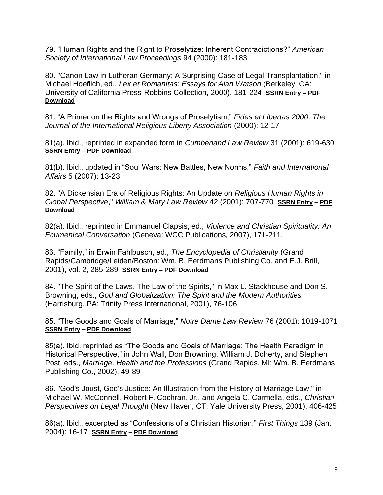79. "Human Rights and the Right to Proselytize: Inherent Contradictions?" *American Society of International Law Proceedings* 94 (2000): 181-183

80. "Canon Law in Lutheran Germany: A Surprising Case of Legal Transplantation," in Michael Hoeflich, ed., *Lex et Romanitas: Essays for Alan Watson* (Berkeley, CA: University of California Press-Robbins Collection, 2000), 181-224 **[SSRN Entry](https://papers.ssrn.com/sol3/papers.cfm?abstract_id=1863603) – [PDF](https://www.johnwittejr.com/uploads/9/0/1/4/90145433/a80.pdf)  [Download](https://www.johnwittejr.com/uploads/9/0/1/4/90145433/a80.pdf)**

81. "A Primer on the Rights and Wrongs of Proselytism," *Fides et Libertas 2000: The Journal of the International Religious Liberty Association* (2000): 12-17

81(a). Ibid., reprinted in expanded form in *Cumberland Law Review* 31 (2001): 619-630 **[SSRN Entry](https://papers.ssrn.com/sol3/papers.cfm?abstract_id=1851125) – [PDF Download](https://www.johnwittejr.com/uploads/9/0/1/4/90145433/a81.pdf)**

81(b). Ibid., updated in "Soul Wars: New Battles, New Norms," *Faith and International Affairs* 5 (2007): 13-23

82. "A Dickensian Era of Religious Rights: An Update on *Religious Human Rights in Global Perspective*," *William & Mary Law Review* 42 (2001): 707-770 **[SSRN Entry](https://papers.ssrn.com/sol3/papers.cfm?abstract_id=1797861) – [PDF](https://www.johnwittejr.com/uploads/9/0/1/4/90145433/a82a.pdf)  [Download](https://www.johnwittejr.com/uploads/9/0/1/4/90145433/a82a.pdf)**

82(a). Ibid., reprinted in Emmanuel Clapsis, ed., *Violence and Christian Spirituality: An Ecumenical Conversation* (Geneva: WCC Publications, 2007), 171-211.

83. "Family," in Erwin Fahlbusch, ed., *The Encyclopedia of Christianity* (Grand Rapids/Cambridge/Leiden/Boston: Wm. B. Eerdmans Publishing Co. and E.J. Brill, 2001), vol. 2, 285-289 **[SSRN Entry](https://papers.ssrn.com/sol3/papers.cfm?abstract_id=3519471) – [PDF Download](https://www.johnwittejr.com/uploads/9/0/1/4/90145433/a83.pdf)**

84. "The Spirit of the Laws, The Law of the Spirits," in Max L. Stackhouse and Don S. Browning, eds., *God and Globalization: The Spirit and the Modern Authorities* (Harrisburg, PA: Trinity Press International, 2001), 76-106

85. "The Goods and Goals of Marriage," *Notre Dame Law Review* 76 (2001): 1019-1071 **[SSRN Entry](https://papers.ssrn.com/sol3/papers.cfm?abstract_id=1851141) – [PDF Download](https://www.johnwittejr.com/uploads/9/0/1/4/90145433/a85.pdf)**

85(a). Ibid, reprinted as "The Goods and Goals of Marriage: The Health Paradigm in Historical Perspective," in John Wall, Don Browning, William J. Doherty, and Stephen Post, eds., *Marriage, Health and the Professions* (Grand Rapids, MI: Wm. B. Eerdmans Publishing Co., 2002), 49-89

86. "God's Joust, God's Justice: An Illustration from the History of Marriage Law," in Michael W. McConnell, Robert F. Cochran, Jr., and Angela C. Carmella, eds., *Christian Perspectives on Legal Thought* (New Haven, CT: Yale University Press, 2001), 406-425

86(a). Ibid., excerpted as "Confessions of a Christian Historian," *First Things* 139 (Jan. 2004): 16-17 **[SSRN Entry](https://papers.ssrn.com/sol3/papers.cfm?abstract_id=3519468) – [PDF Download](https://www.johnwittejr.com/uploads/9/0/1/4/90145433/a86a.pdf)**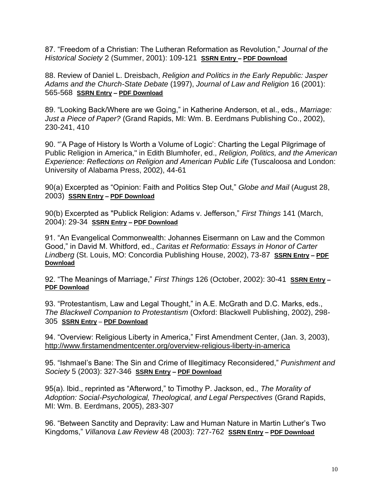87. "Freedom of a Christian: The Lutheran Reformation as Revolution," *Journal of the Historical Society* 2 (Summer, 2001): 109-121 **[SSRN Entry](https://papers.ssrn.com/sol3/papers.cfm?abstract_id=1851143) – [PDF Download](https://www.johnwittejr.com/uploads/9/0/1/4/90145433/a87.pdf)**

88. Review of Daniel L. Dreisbach, *Religion and Politics in the Early Republic: Jasper Adams and the Church-State Debate* (1997), *Journal of Law and Religion* 16 (2001): 565-568 **[SSRN Entry](https://papers.ssrn.com/sol3/papers.cfm?abstract_id=1851145) – [PDF Download](https://www.johnwittejr.com/uploads/9/0/1/4/90145433/a88.pdf)**

89. "Looking Back/Where are we Going," in Katherine Anderson, et al., eds., *Marriage: Just a Piece of Paper?* (Grand Rapids, MI: Wm. B. Eerdmans Publishing Co., 2002), 230-241, 410

90. "'A Page of History Is Worth a Volume of Logic': Charting the Legal Pilgrimage of Public Religion in America," in Edith Blumhofer, ed., *Religion, Politics, and the American Experience: Reflections on Religion and American Public Life* (Tuscaloosa and London: University of Alabama Press, 2002), 44-61

90(a) Excerpted as "Opinion: Faith and Politics Step Out," *Globe and Mail* (August 28, 2003) **[SSRN Entry](https://papers.ssrn.com/sol3/papers.cfm?abstract_id=3519464) – [PDF Download](https://www.johnwittejr.com/uploads/9/0/1/4/90145433/a90a.pdf)**

90(b) Excerpted as "Publick Religion: Adams v. Jefferson," *First Things* 141 (March, 2004): 29-34 **[SSRN Entry](https://papers.ssrn.com/sol3/papers.cfm?abstract_id=3519462) – [PDF Download](https://www.johnwittejr.com/uploads/9/0/1/4/90145433/a90b.pdf)**

91. "An Evangelical Commonwealth: Johannes Eisermann on Law and the Common Good," in David M. Whitford, ed., *Caritas et Reformatio: Essays in Honor of Carter Lindberg* (St. Louis, MO: Concordia Publishing House, 2002), 73-87 **[SSRN Entry](https://papers.ssrn.com/sol3/papers.cfm?abstract_id=1863586) – [PDF](https://www.johnwittejr.com/uploads/9/0/1/4/90145433/a91.pdf)  [Download](https://www.johnwittejr.com/uploads/9/0/1/4/90145433/a91.pdf)**

92. "The Meanings of Marriage," *First Things* 126 (October, 2002): 30-41 **[SSRN Entry](https://papers.ssrn.com/sol3/papers.cfm?abstract_id=1797853) – [PDF Download](https://www.johnwittejr.com/uploads/9/0/1/4/90145433/a92.pdf)**

93. "Protestantism, Law and Legal Thought," in A.E. McGrath and D.C. Marks, eds., *The Blackwell Companion to Protestantism* (Oxford: Blackwell Publishing, 2002), 298- 305 **[SSRN Entry](https://papers.ssrn.com/sol3/papers.cfm?abstract_id=1863588)** – **[PDF Download](https://www.johnwittejr.com/uploads/9/0/1/4/90145433/a93.pdf)**

94. "Overview: Religious Liberty in America," First Amendment Center, (Jan. 3, 2003), <http://www.firstamendmentcenter.org/overview-religious-liberty-in-america>

95. "Ishmael's Bane: The Sin and Crime of Illegitimacy Reconsidered," *Punishment and Society* 5 (2003): 327-346 **[SSRN Entry](https://papers.ssrn.com/sol3/papers.cfm?abstract_id=463400) – [PDF Download](https://www.johnwittejr.com/uploads/9/0/1/4/90145433/a95.pdf)**

95(a). Ibid., reprinted as "Afterword," to Timothy P. Jackson, ed., *The Morality of Adoption: Social-Psychological, Theological, and Legal Perspectives* (Grand Rapids, MI: Wm. B. Eerdmans, 2005), 283-307

96. "Between Sanctity and Depravity: Law and Human Nature in Martin Luther's Two Kingdoms," *Villanova Law Review* 48 (2003): 727-762 **[SSRN Entry](https://papers.ssrn.com/sol3/papers.cfm?abstract_id=447881) – [PDF Download](https://www.johnwittejr.com/uploads/9/0/1/4/90145433/a96.pdf)**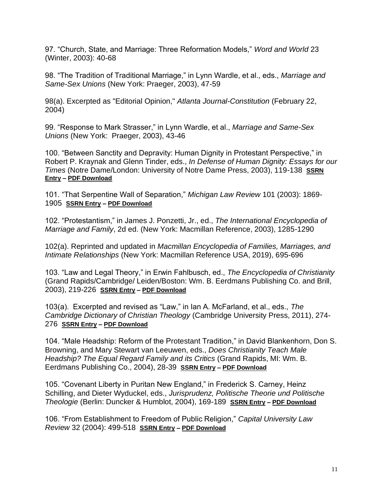97. "Church, State, and Marriage: Three Reformation Models," *Word and World* 23 (Winter, 2003): 40-68

98. "The Tradition of Traditional Marriage," in Lynn Wardle, et al., eds., *Marriage and Same-Sex Unions* (New York: Praeger, 2003), 47-59

98(a). Excerpted as "Editorial Opinion," *Atlanta Journal-Constitution* (February 22, 2004)

99. "Response to Mark Strasser," in Lynn Wardle, et al., *Marriage and Same-Sex Unions* (New York: Praeger, 2003), 43-46

100. "Between Sanctity and Depravity: Human Dignity in Protestant Perspective," in Robert P. Kraynak and Glenn Tinder, eds., *In Defense of Human Dignity: Essays for our Times* (Notre Dame/London: University of Notre Dame Press, 2003), 119-138 **[SSRN](https://papers.ssrn.com/sol3/papers.cfm?abstract_id=755048)  [Entry](https://papers.ssrn.com/sol3/papers.cfm?abstract_id=755048) – [PDF Download](https://www.johnwittejr.com/uploads/9/0/1/4/90145433/a100.pdf)**

101. "That Serpentine Wall of Separation," *Michigan Law Review* 101 (2003): 1869- 1905 **[SSRN Entry](https://papers.ssrn.com/sol3/papers.cfm?abstract_id=447883) – [PDF Download](https://www.johnwittejr.com/uploads/9/0/1/4/90145433/a101.pdf)**

102. "Protestantism," in James J. Ponzetti, Jr., ed., *The International Encyclopedia of Marriage and Family*, 2d ed. (New York: Macmillan Reference, 2003), 1285-1290

102(a). Reprinted and updated in *Macmillan Encyclopedia of Families, Marriages, and Intimate Relationships* (New York: Macmillan Reference USA, 2019), 695-696

103. "Law and Legal Theory," in Erwin Fahlbusch, ed., *The Encyclopedia of Christianity* (Grand Rapids/Cambridge/ Leiden/Boston: Wm. B. Eerdmans Publishing Co. and Brill, 2003), 219-226 **[SSRN Entry](https://papers.ssrn.com/sol3/papers.cfm?abstract_id=755086) – [PDF Download](https://www.johnwittejr.com/uploads/9/0/1/4/90145433/a103.pdf)**

103(a). Excerpted and revised as "Law," in Ian A. McFarland, et al., eds., *The Cambridge Dictionary of Christian Theology* (Cambridge University Press, 2011), 274- 276 **[SSRN Entry](https://papers.ssrn.com/sol3/papers.cfm?abstract_id=2517765) – [PDF Download](https://www.johnwittejr.com/uploads/9/0/1/4/90145433/a103a.pdf)**

104. "Male Headship: Reform of the Protestant Tradition," in David Blankenhorn, Don S. Browning, and Mary Stewart van Leeuwen, eds., *Does Christianity Teach Male Headship? The Equal Regard Family and its Critics* (Grand Rapids, MI: Wm. B. Eerdmans Publishing Co., 2004), 28-39 **[SSRN Entry](https://papers.ssrn.com/sol3/papers.cfm?abstract_id=1863626) – [PDF Download](https://www.johnwittejr.com/uploads/9/0/1/4/90145433/a104.pdf)**

105. "Covenant Liberty in Puritan New England," in Frederick S. Carney, Heinz Schilling, and Dieter Wyduckel, eds., *Jurisprudenz, Politische Theorie und Politische Theologie* (Berlin: Duncker & Humblot, 2004), 169-189 **[SSRN Entry](https://papers.ssrn.com/sol3/papers.cfm?abstract_id=537522) – [PDF Download](https://www.johnwittejr.com/uploads/9/0/1/4/90145433/a105.pdf)**

106. "From Establishment to Freedom of Public Religion," *Capital University Law Review* 32 (2004): 499-518 **[SSRN Entry](https://papers.ssrn.com/sol3/papers.cfm?abstract_id=537422) – [PDF Download](https://www.johnwittejr.com/uploads/9/0/1/4/90145433/a106.pdf)**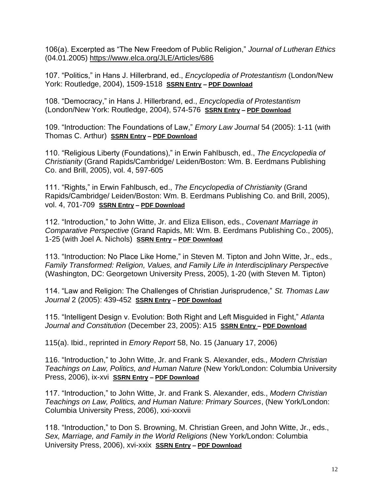106(a). Excerpted as "The New Freedom of Public Religion," *Journal of Lutheran Ethics* (04.01.2005)<https://www.elca.org/JLE/Articles/686>

107. "Politics," in Hans J. Hillerbrand, ed., *Encyclopedia of Protestantism* (London/New York: Routledge, 2004), 1509-1518 **[SSRN Entry](https://papers.ssrn.com/sol3/papers.cfm?abstract_id=3451361) – [PDF Download](https://www.johnwittejr.com/uploads/9/0/1/4/90145433/a107.pdf)**

108. "Democracy," in Hans J. Hillerbrand, ed., *Encyclopedia of Protestantism* (London/New York: Routledge, 2004), 574-576 **[SSRN Entry](https://papers.ssrn.com/sol3/papers.cfm?abstract_id=3451365) – [PDF Download](https://www.johnwittejr.com/uploads/9/0/1/4/90145433/a108.pdf)**

109. "Introduction: The Foundations of Law," *Emory Law Journal* 54 (2005): 1-11 (with Thomas C. Arthur) **[SSRN Entry](https://papers.ssrn.com/sol3/papers.cfm?abstract_id=3451366) – [PDF Download](https://www.johnwittejr.com/uploads/9/0/1/4/90145433/a109.pdf)**

110. "Religious Liberty (Foundations)," in Erwin Fahlbusch, ed., *The Encyclopedia of Christianity* (Grand Rapids/Cambridge/ Leiden/Boston: Wm. B. Eerdmans Publishing Co. and Brill, 2005), vol. 4, 597-605

111. "Rights," in Erwin Fahlbusch, ed., *The Encyclopedia of Christianity* (Grand Rapids/Cambridge/ Leiden/Boston: Wm. B. Eerdmans Publishing Co. and Brill, 2005), vol. 4, 701-709 **[SSRN Entry](https://papers.ssrn.com/sol3/papers.cfm?abstract_id=753484) – [PDF Download](https://www.johnwittejr.com/uploads/9/0/1/4/90145433/a111.pdf)**

112. "Introduction," to John Witte, Jr. and Eliza Ellison, eds., *Covenant Marriage in Comparative Perspective* (Grand Rapids, MI: Wm. B. Eerdmans Publishing Co., 2005), 1-25 (with Joel A. Nichols) **[SSRN Entry](https://papers.ssrn.com/sol3/papers.cfm?abstract_id=3445700) – [PDF Download](https://www.johnwittejr.com/uploads/9/0/1/4/90145433/a112.pdf)**

113. "Introduction: No Place Like Home," in Steven M. Tipton and John Witte, Jr., eds*., Family Transformed: Religion, Values, and Family Life in Interdisciplinary Perspective* (Washington, DC: Georgetown University Press, 2005), 1-20 (with Steven M. Tipton)

114. "Law and Religion: The Challenges of Christian Jurisprudence," *St. Thomas Law Journal* 2 (2005): 439-452 **[SSRN Entry](https://papers.ssrn.com/sol3/papers.cfm?abstract_id=1014821) – [PDF Download](https://www.johnwittejr.com/uploads/9/0/1/4/90145433/a114.pdf)**

115. "Intelligent Design v. Evolution: Both Right and Left Misguided in Fight," *Atlanta Journal and Constitution* (December 23, 2005): A15 **[SSRN Entry](https://papers.ssrn.com/sol3/papers.cfm?abstract_id=3445698) – [PDF Download](https://www.johnwittejr.com/uploads/9/0/1/4/90145433/a115.pdf)**

115(a). Ibid., reprinted in *Emory Report* 58, No. 15 (January 17, 2006)

116. "Introduction," to John Witte, Jr. and Frank S. Alexander, eds*., Modern Christian Teachings on Law, Politics, and Human Nature* (New York/London: Columbia University Press, 2006), ix-xvi **[SSRN Entry](https://papers.ssrn.com/sol3/papers.cfm?abstract_id=2699311) – [PDF Download](https://www.johnwittejr.com/uploads/9/0/1/4/90145433/a116.pdf)**

117. "Introduction," to John Witte, Jr. and Frank S. Alexander, eds., *Modern Christian Teachings on Law, Politics, and Human Nature: Primary Sources*, (New York/London: Columbia University Press, 2006), xxi-xxxvii

118. "Introduction," to Don S. Browning, M. Christian Green, and John Witte, Jr., eds., *Sex, Marriage, and Family in the World Religions* (New York/London: Columbia University Press, 2006), xvi-xxix **[SSRN Entry](https://papers.ssrn.com/sol3/papers.cfm?abstract_id=2699266) – PDF [Download](https://www.johnwittejr.com/uploads/9/0/1/4/90145433/a118.pdf)**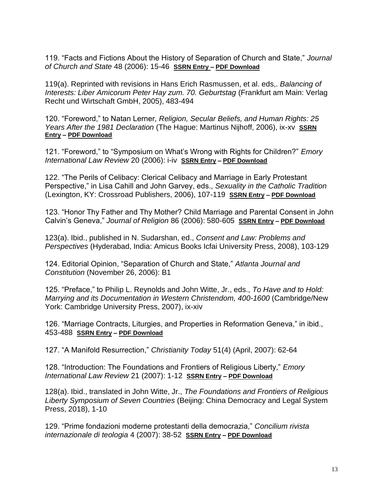119. "Facts and Fictions About the History of Separation of Church and State," *Journal of Church and State* 48 (2006): 15-46 **[SSRN Entry](https://papers.ssrn.com/sol3/papers.cfm?abstract_id=1014807) – [PDF Download](https://www.johnwittejr.com/uploads/9/0/1/4/90145433/a119.pdf)**

119(a). Reprinted with revisions in Hans Erich Rasmussen, et al. eds,. *Balancing of Interests: Liber Amicorum Peter Hay zum. 70. Geburtstag* (Frankfurt am Main: Verlag Recht und Wirtschaft GmbH, 2005), 483-494

120. "Foreword," to Natan Lerner*, Religion, Secular Beliefs, and Human Rights: 25 Years After the 1981 Declaration* (The Hague: Martinus Nijhoff, 2006), ix-xv **[SSRN](https://papers.ssrn.com/sol3/papers.cfm?abstract_id=3445694)  [Entry](https://papers.ssrn.com/sol3/papers.cfm?abstract_id=3445694) – [PDF Download](https://www.johnwittejr.com/uploads/9/0/1/4/90145433/a120.pdf)**

121. "Foreword," to "Symposium on What's Wrong with Rights for Children?" *Emory International Law Review* 20 (2006): i-iv **[SSRN Entry](https://papers.ssrn.com/sol3/papers.cfm?abstract_id=1669532) – [PDF Download](https://www.johnwittejr.com/uploads/9/0/1/4/90145433/a121.pdf)**

122. "The Perils of Celibacy: Clerical Celibacy and Marriage in Early Protestant Perspective," in Lisa Cahill and John Garvey, eds., *Sexuality in the Catholic Tradition* (Lexington, KY: Crossroad Publishers, 2006), 107-119 **[SSRN Entry](https://papers.ssrn.com/sol3/papers.cfm?abstract_id=755032) – [PDF Download](https://www.johnwittejr.com/uploads/9/0/1/4/90145433/a122.pdf)**

123. "Honor Thy Father and Thy Mother? Child Marriage and Parental Consent in John Calvin's Geneva," *Journal of Religion* 86 (2006): 580-605 **[SSRN Entry](https://papers.ssrn.com/sol3/papers.cfm?abstract_id=755108) – [PDF Download](https://www.johnwittejr.com/uploads/9/0/1/4/90145433/a123.pdf)**

123(a). Ibid., published in N. Sudarshan, ed., *Consent and Law: Problems and Perspectives* (Hyderabad, India: Amicus Books Icfai University Press, 2008), 103-129

124. Editorial Opinion, "Separation of Church and State," *Atlanta Journal and Constitution* (November 26, 2006): B1

125. "Preface," to Philip L. Reynolds and John Witte, Jr., eds., *To Have and to Hold: Marrying and its Documentation in Western Christendom, 400-1600* (Cambridge/New York: Cambridge University Press, 2007), ix-xiv

126. "Marriage Contracts, Liturgies, and Properties in Reformation Geneva," in ibid., 453-488 **[SSRN Entry](https://papers.ssrn.com/sol3/papers.cfm?abstract_id=755088) – [PDF Download](https://www.johnwittejr.com/uploads/9/0/1/4/90145433/a126.pdf)**

127. "A Manifold Resurrection," *Christianity Today* 51(4) (April, 2007): 62-64

128. "Introduction: The Foundations and Frontiers of Religious Liberty," *Emory International Law Review* 21 (2007): 1-12 **[SSRN Entry](https://papers.ssrn.com/sol3/papers.cfm?abstract_id=1797814) – [PDF Download](https://www.johnwittejr.com/uploads/9/0/1/4/90145433/a128.pdf)**

128(a). Ibid., translated in John Witte, Jr., *The Foundations and Frontiers of Religious Liberty Symposium of Seven Countries* (Beijing: China Democracy and Legal System Press, 2018), 1-10

129. "Prime fondazioni moderne protestanti della democrazia," *Concilium rivista internazionale di teologia* 4 (2007): 38-52 **[SSRN Entry](https://papers.ssrn.com/sol3/papers.cfm?abstract_id=3549503) – [PDF Download](https://www.johnwittejr.com/uploads/9/0/1/4/90145433/a129.pdf)**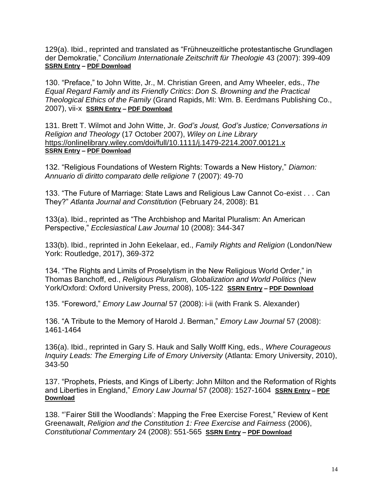129(a). Ibid., reprinted and translated as "Frühneuzeitliche protestantische Grundlagen der Demokratie," *Concilium Internationale Zeitschrift für Theologie* 43 (2007): 399-409 **[SSRN Entry](https://papers.ssrn.com/sol3/papers.cfm?abstract_id=3549507) – [PDF Download](https://www.johnwittejr.com/uploads/9/0/1/4/90145433/a129a.pdf)**

130. "Preface," to John Witte, Jr., M. Christian Green, and Amy Wheeler, eds., *The Equal Regard Family and its Friendly Critics*: *Don S. Browning and the Practical Theological Ethics of the Family* (Grand Rapids, MI: Wm. B. Eerdmans Publishing Co., 2007), vii-x **[SSRN Entry](https://papers.ssrn.com/sol3/papers.cfm?abstract_id=1014678) – [PDF Download](https://www.johnwittejr.com/uploads/9/0/1/4/90145433/a130.pdf)**

131. Brett T. Wilmot and John Witte, Jr. *God's Joust, God's Justice; Conversations in Religion and Theology* (17 October 2007), *Wiley on Line Library*  <https://onlinelibrary.wiley.com/doi/full/10.1111/j.1479-2214.2007.00121.x> **[SSRN Entry](https://papers.ssrn.com/sol3/papers.cfm?abstract_id=3445693) – [PDF Download](https://www.johnwittejr.com/uploads/9/0/1/4/90145433/a131.pdf)**

132. "Religious Foundations of Western Rights: Towards a New History," *Diamon: Annuario di diritto comparato delle religione* 7 (2007): 49-70

133. "The Future of Marriage: State Laws and Religious Law Cannot Co-exist . . . Can They?" *Atlanta Journal and Constitution* (February 24, 2008): B1

133(a). Ibid., reprinted as "The Archbishop and Marital Pluralism: An American Perspective," *Ecclesiastical Law Journal* 10 (2008): 344-347

133(b). Ibid., reprinted in John Eekelaar, ed., *Family Rights and Religion* (London/New York: Routledge, 2017), 369-372

134. "The Rights and Limits of Proselytism in the New Religious World Order," in Thomas Banchoff, ed., *Religious Pluralism, Globalization and World Politics* (New York/Oxford: Oxford University Press, 2008), 105-122 **[SSRN Entry](https://papers.ssrn.com/sol3/papers.cfm?abstract_id=3445691) – [PDF Download](https://www.johnwittejr.com/uploads/9/0/1/4/90145433/a134.pdf)**

135. "Foreword," *Emory Law Journal* 57 (2008): i-ii (with Frank S. Alexander)

136. "A Tribute to the Memory of Harold J. Berman," *Emory Law Journal* 57 (2008): 1461-1464

136(a). Ibid., reprinted in Gary S. Hauk and Sally Wolff King, eds., *Where Courageous Inquiry Leads: The Emerging Life of Emory University* (Atlanta: Emory University, 2010), 343-50

137. "Prophets, Priests, and Kings of Liberty: John Milton and the Reformation of Rights and Liberties in England," *Emory Law Journal* 57 (2008): 1527-1604 **[SSRN Entry](https://papers.ssrn.com/sol3/papers.cfm?abstract_id=1797799) – [PDF](https://www.johnwittejr.com/uploads/9/0/1/4/90145433/a137.pdf)  [Download](https://www.johnwittejr.com/uploads/9/0/1/4/90145433/a137.pdf)**

138. "'Fairer Still the Woodlands': Mapping the Free Exercise Forest," Review of Kent Greenawalt, *Religion and the Constitution 1: Free Exercise and Fairness* (2006), *Constitutional Commentary* 24 (2008): 551-565 **[SSRN Entry](https://papers.ssrn.com/sol3/papers.cfm?abstract_id=1797859) – [PDF Download](https://www.johnwittejr.com/uploads/9/0/1/4/90145433/a138.pdf)**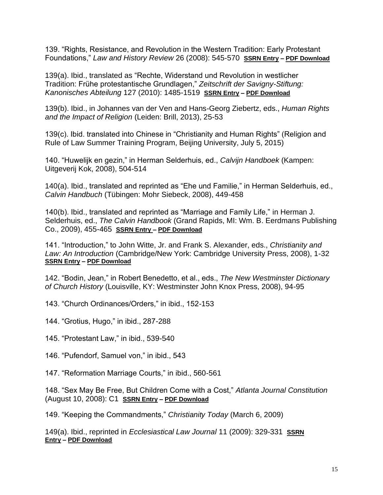139. "Rights, Resistance, and Revolution in the Western Tradition: Early Protestant Foundations," *Law and History Review* 26 (2008): 545-570 **[SSRN Entry](https://papers.ssrn.com/sol3/papers.cfm?abstract_id=1014726) – [PDF Download](https://www.johnwittejr.com/uploads/9/0/1/4/90145433/a139.pdf)**

139(a). Ibid., translated as "Rechte, Widerstand und Revolution in westlicher Tradition: Frühe protestantische Grundlagen," *Zeitschrift der Savigny-Stiftung: Kanonisches Abteilung* 127 (2010): 1485-1519 **[SSRN Entry](https://papers.ssrn.com/sol3/papers.cfm?abstract_id=3445690) – [PDF Download](https://www.johnwittejr.com/uploads/9/0/1/4/90145433/a139a.pdf)**

139(b). Ibid., in Johannes van der Ven and Hans-Georg Ziebertz, eds., *Human Rights and the Impact of Religion* (Leiden: Brill, 2013), 25-53

139(c). Ibid. translated into Chinese in "Christianity and Human Rights" (Religion and Rule of Law Summer Training Program, Beijing University, July 5, 2015)

140. "Huwelijk en gezin," in Herman Selderhuis, ed., *Calvijn Handboek* (Kampen: Uitgeverij Kok, 2008), 504-514

140(a). Ibid., translated and reprinted as "Ehe und Familie," in Herman Selderhuis, ed., *Calvin Handbuch* (Tübingen: Mohr Siebeck, 2008), 449-458

140(b). Ibid., translated and reprinted as "Marriage and Family Life," in Herman J. Selderhuis, ed., *The Calvin Handbook* (Grand Rapids, MI: Wm. B. Eerdmans Publishing Co., 2009), 455-465 **[SSRN Entry –](https://papers.ssrn.com/sol3/papers.cfm?abstract_id=1014729) [PDF Download](https://www.johnwittejr.com/uploads/9/0/1/4/90145433/a140b.pdf)**

141. "Introduction," to John Witte, Jr. and Frank S. Alexander, eds., *Christianity and Law: An Introduction* (Cambridge/New York: Cambridge University Press, 2008), 1-32 **[SSRN Entry](https://papers.ssrn.com/sol3/papers.cfm?abstract_id=2706654) – [PDF Download](https://www.johnwittejr.com/uploads/9/0/1/4/90145433/a141.pdf)**

142. "Bodin, Jean," in Robert Benedetto, et al., eds., *The New Westminster Dictionary of Church History* (Louisville, KY: Westminster John Knox Press, 2008), 94-95

143. "Church Ordinances/Orders," in ibid., 152-153

144. "Grotius, Hugo," in ibid., 287-288

145. "Protestant Law," in ibid., 539-540

146. "Pufendorf, Samuel von," in ibid., 543

147. "Reformation Marriage Courts," in ibid., 560-561

148. "Sex May Be Free, But Children Come with a Cost," *Atlanta Journal Constitution* (August 10, 2008): C1 **[SSRN Entry](https://papers.ssrn.com/sol3/papers.cfm?abstract_id=3445688) – [PDF Download](https://www.johnwittejr.com/uploads/9/0/1/4/90145433/a148.pdf)**

149. "Keeping the Commandments," *Christianity Today* (March 6, 2009)

149(a). Ibid., reprinted in *Ecclesiastical Law Journal* 11 (2009): 329-331 **[SSRN](https://papers.ssrn.com/sol3/papers.cfm?abstract_id=2705580)  [Entry](https://papers.ssrn.com/sol3/papers.cfm?abstract_id=2705580) – [PDF Download](https://www.johnwittejr.com/uploads/9/0/1/4/90145433/a149a.pdf)**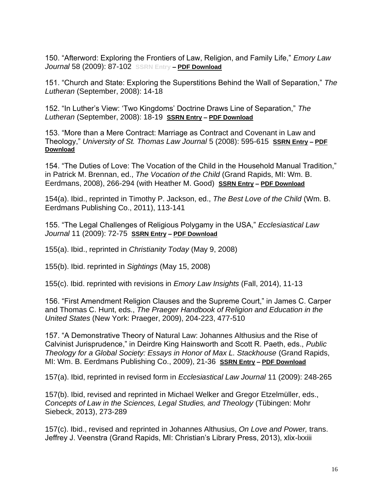150. "Afterword: Exploring the Frontiers of Law, Religion, and Family Life," *Emory Law Journal* 58 (2009): 87-102 **SSRN Entry – [PDF Download](https://www.johnwittejr.com/uploads/9/0/1/4/90145433/a150.pdf)**

151. "Church and State: Exploring the Superstitions Behind the Wall of Separation," *The Lutheran* (September, 2008): 14-18

152. "In Luther's View: 'Two Kingdoms' Doctrine Draws Line of Separation," *The Lutheran* (September, 2008): 18-19 **[SSRN Entry](https://papers.ssrn.com/sol3/papers.cfm?abstract_id=3445686) – [PDF Download](https://www.johnwittejr.com/uploads/9/0/1/4/90145433/a152.pdf)**

153. "More than a Mere Contract: Marriage as Contract and Covenant in Law and Theology," *University of St. Thomas Law Journal* 5 (2008): 595-615 **[SSRN Entry](https://papers.ssrn.com/sol3/papers.cfm?abstract_id=1292998) – [PDF](https://www.johnwittejr.com/uploads/9/0/1/4/90145433/a153.pdf)  [Download](https://www.johnwittejr.com/uploads/9/0/1/4/90145433/a153.pdf)**

154. "The Duties of Love: The Vocation of the Child in the Household Manual Tradition," in Patrick M. Brennan, ed., *The Vocation of the Child* (Grand Rapids, MI: Wm. B. Eerdmans, 2008), 266-294 (with Heather M. Good) **[SSRN Entry](https://papers.ssrn.com/sol3/papers.cfm?abstract_id=3445685) – [PDF Download](https://www.johnwittejr.com/uploads/9/0/1/4/90145433/a154.pdf)**

154(a). Ibid., reprinted in Timothy P. Jackson, ed., *The Best Love of the Child* (Wm. B. Eerdmans Publishing Co., 2011), 113-141

155. "The Legal Challenges of Religious Polygamy in the USA," *Ecclesiastical Law Journal* 11 (2009): 72-75 **[SSRN Entry](https://papers.ssrn.com/sol3/papers.cfm?abstract_id=1797850) – [PDF Download](https://www.johnwittejr.com/uploads/9/0/1/4/90145433/a155.pdf)**

155(a). Ibid., reprinted in *Christianity Today* (May 9, 2008)

155(b). Ibid. reprinted in *Sightings* (May 15, 2008)

155(c). Ibid. reprinted with revisions in *Emory Law Insights* (Fall, 2014), 11-13

156. "First Amendment Religion Clauses and the Supreme Court," in James C. Carper and Thomas C. Hunt, eds., *The Praeger Handbook of Religion and Education in the United States* (New York: Praeger, 2009), 204-223, 477-510

157. "A Demonstrative Theory of Natural Law: Johannes Althusius and the Rise of Calvinist Jurisprudence," in Deirdre King Hainsworth and Scott R. Paeth, eds., *Public Theology for a Global Society: Essays in Honor of Max L. Stackhouse* (Grand Rapids, MI: Wm. B. Eerdmans Publishing Co., 2009), 21-36 **[SSRN Entry](https://papers.ssrn.com/sol3/papers.cfm?abstract_id=1863623) – [PDF Download](https://www.johnwittejr.com/uploads/9/0/1/4/90145433/a157.pdf)**

157(a). Ibid, reprinted in revised form in *Ecclesiastical Law Journal* 11 (2009): 248-265

157(b). Ibid, revised and reprinted in Michael Welker and Gregor Etzelmüller, eds., *Concepts of Law in the Sciences, Legal Studies, and Theology* (Tübingen: Mohr Siebeck, 2013), 273-289

157(c). Ibid., revised and reprinted in Johannes Althusius, *On Love and Power,* trans. Jeffrey J. Veenstra (Grand Rapids, MI: Christian's Library Press, 2013), xlix-lxxiii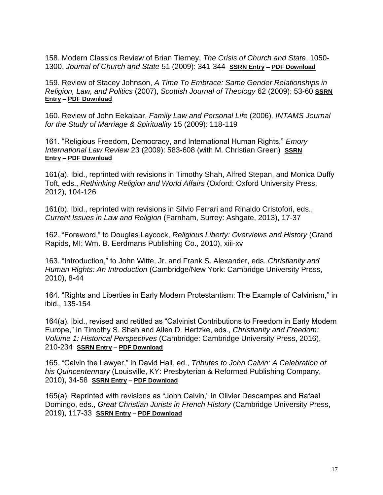158. Modern Classics Review of Brian Tierney, *The Crisis of Church and State*, 1050- 1300, *Journal of Church and State* 51 (2009): 341-344 **[SSRN Entry](https://papers.ssrn.com/sol3/papers.cfm?abstract_id=1851132) – [PDF Download](https://www.johnwittejr.com/uploads/9/0/1/4/90145433/a158.pdf)**

159. Review of Stacey Johnson, *A Time To Embrace: Same Gender Relationships in Religion, Law, and Politics* (2007), *Scottish Journal of Theology* 62 (2009): 53-60 **[SSRN](https://papers.ssrn.com/sol3/papers.cfm?abstract_id=3445684)  [Entry](https://papers.ssrn.com/sol3/papers.cfm?abstract_id=3445684) – [PDF Download](https://www.johnwittejr.com/uploads/9/0/1/4/90145433/a159.pdf)**

160. Review of John Eekalaar, *Family Law and Personal Life* (2006)*, INTAMS Journal for the Study of Marriage & Spirituality* 15 (2009): 118-119

161. "Religious Freedom, Democracy, and International Human Rights," *Emory International Law Review* 23 (2009): 583-608 (with M. Christian Green) **[SSRN](https://papers.ssrn.com/sol3/papers.cfm?abstract_id=1851230)  [Entry](https://papers.ssrn.com/sol3/papers.cfm?abstract_id=1851230) – [PDF Download](https://www.johnwittejr.com/uploads/9/0/1/4/90145433/a161.pdf)**

161(a). Ibid., reprinted with revisions in Timothy Shah, Alfred Stepan, and Monica Duffy Toft, eds., *Rethinking Religion and World Affairs* (Oxford: Oxford University Press, 2012), 104-126

161(b). Ibid., reprinted with revisions in Silvio Ferrari and Rinaldo Cristofori, eds., *Current Issues in Law and Religion* (Farnham, Surrey: Ashgate, 2013), 17-37

162. "Foreword," to Douglas Laycock, *Religious Liberty: Overviews and History* (Grand Rapids, MI: Wm. B. Eerdmans Publishing Co., 2010), xiii-xv

163. "Introduction," to John Witte, Jr. and Frank S. Alexander, eds. *Christianity and Human Rights: An Introduction* (Cambridge/New York: Cambridge University Press, 2010), 8-44

164. "Rights and Liberties in Early Modern Protestantism: The Example of Calvinism," in ibid., 135-154

164(a). Ibid., revised and retitled as "Calvinist Contributions to Freedom in Early Modern Europe," in Timothy S. Shah and Allen D. Hertzke, eds., *Christianity and Freedom: Volume 1: Historical Perspectives* (Cambridge: Cambridge University Press, 2016), 210-234 **[SSRN Entry](https://papers.ssrn.com/sol3/papers.cfm?abstract_id=3091861) – [PDF Download](https://www.johnwittejr.com/uploads/9/0/1/4/90145433/a164a.pdf)**

165. "Calvin the Lawyer," in David Hall, ed., *Tributes to John Calvin: A Celebration of his Quincentennary* (Louisville, KY: Presbyterian & Reformed Publishing Company, 2010), 34-58 **[SSRN Entry](https://papers.ssrn.com/sol3/papers.cfm?abstract_id=1863624) – [PDF Download](https://www.johnwittejr.com/uploads/9/0/1/4/90145433/a165.pdf)**

165(a). Reprinted with revisions as "John Calvin," in Olivier Descampes and Rafael Domingo, eds., *Great Christian Jurists in French History* (Cambridge University Press, 2019), 117-33 **[SSRN Entry](https://papers.ssrn.com/sol3/papers.cfm?abstract_id=3422398) – [PDF Download](https://www.johnwittejr.com/uploads/9/0/1/4/90145433/a262.pdf)**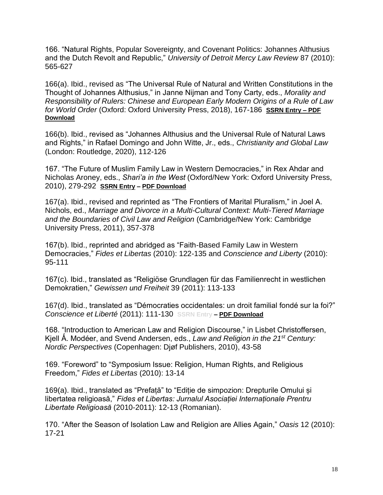166. "Natural Rights, Popular Sovereignty, and Covenant Politics: Johannes Althusius and the Dutch Revolt and Republic," *University of Detroit Mercy Law Review* 87 (2010): 565-627

166(a). Ibid., revised as "The Universal Rule of Natural and Written Constitutions in the Thought of Johannes Althusius," in Janne Nijman and Tony Carty, eds., *Morality and Responsibility of Rulers: Chinese and European Early Modern Origins of a Rule of Law for World Order* (Oxford: Oxford University Press, 2018), 167-186 **[SSRN Entry](https://papers.ssrn.com/sol3/papers.cfm?abstract_id=3092277) – [PDF](https://www.johnwittejr.com/uploads/9/0/1/4/90145433/a166a.pdf)  [Download](https://www.johnwittejr.com/uploads/9/0/1/4/90145433/a166a.pdf)**

166(b). Ibid., revised as "Johannes Althusius and the Universal Rule of Natural Laws and Rights," in Rafael Domingo and John Witte, Jr., eds., *Christianity and Global Law*  (London: Routledge, 2020), 112-126

167. "The Future of Muslim Family Law in Western Democracies," in Rex Ahdar and Nicholas Aroney, eds., *Shari'a in the West* (Oxford/New York: Oxford University Press, 2010), 279-292 **[SSRN Entry](https://papers.ssrn.com/sol3/papers.cfm?abstract_id=2705581) – [PDF Download](https://www.johnwittejr.com/uploads/9/0/1/4/90145433/a167.pdf)**

167(a). Ibid., revised and reprinted as "The Frontiers of Marital Pluralism," in Joel A. Nichols, ed., *Marriage and Divorce in a Multi-Cultural Context: Multi-Tiered Marriage and the Boundaries of Civil Law and Religion* (Cambridge/New York: Cambridge University Press, 2011), 357-378

167(b). Ibid., reprinted and abridged as "Faith-Based Family Law in Western Democracies," *Fides et Libertas* (2010): 122-135 and *Conscience and Liberty* (2010): 95-111

167(c). Ibid., translated as "Religiöse Grundlagen für das Familienrecht in westlichen Demokratien," *Gewissen und Freiheit* 39 (2011): 113-133

167(d). Ibid., translated as "Démocraties occidentales: un droit familial fondé sur la foi?" *Conscience et Liberté* (2011): 111-130 **SSRN Entry – [PDF Download](https://www.johnwittejr.com/uploads/5/4/6/6/54662393/a167d.pdf)**

168. "Introduction to American Law and Religion Discourse," in Lisbet Christoffersen, Kjell Å. Modéer, and Svend Andersen, eds., *Law and Religion in the 21<sup>st</sup> Century: Nordic Perspectives* (Copenhagen: Djøf Publishers, 2010), 43-58

169. "Foreword" to "Symposium Issue: Religion, Human Rights, and Religious Freedom," *Fides et Libertas* (2010): 13-14

169(a). Ibid., translated as "Prefață" to "Ediție de simpozion: Drepturile Omului și libertatea religioasă," *Fides et Libertas: Jurnalul Asociației Internaționale Prentru Libertate Religioasă* (2010-2011): 12-13 (Romanian).

170. "After the Season of Isolation Law and Religion are Allies Again," *Oasis* 12 (2010): 17-21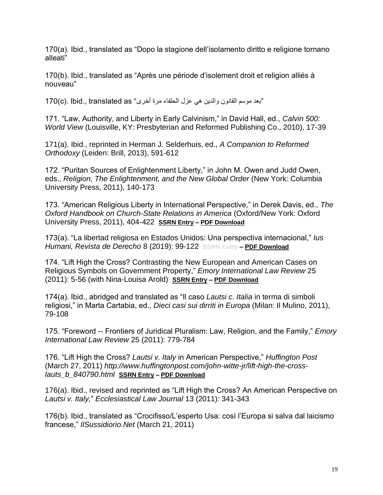170(a). Ibid., translated as "Dopo la stagione dell'isolamento diritto e religione tornano alleati"

170(b). Ibid., translated as "Après une période d'isolement droit et religion alliés à nouveau"

170(c). lbid., translated as "بعد موسم القانون والدين هي عزل الحلفاء مرة أخرى"

171. "Law, Authority, and Liberty in Early Calvinism," in David Hall, ed., *Calvin 500: World View* (Louisville, KY: Presbyterian and Reformed Publishing Co., 2010), 17-39

171(a). Ibid., reprinted in Herman J. Selderhuis, ed., *A Companion to Reformed Orthodoxy* (Leiden: Brill, 2013), 591-612

172. "Puritan Sources of Enlightenment Liberty," in John M. Owen and Judd Owen, eds., *Religion, The Enlightenment, and the New Global Order* (New York: Columbia University Press, 2011), 140-173

173. "American Religious Liberty in International Perspective," in Derek Davis, ed., *The Oxford Handbook on Church-State Relations in America* (Oxford/New York: Oxford University Press, 2011), 404-422 **[SSRN Entry](https://papers.ssrn.com/sol3/papers.cfm?abstract_id=2705583) – [PDF Download](https://www.johnwittejr.com/uploads/9/0/1/4/90145433/a173.pdf)**

173(a). "La libertad religiosa en Estados Unidos: Una perspectiva internacional," *Ius Humani, Revista de Derecho* 8 (2019): 99-122 **SSRN Entry – [PDF Download](https://www.johnwittejr.com/uploads/9/0/1/4/90145433/a173a.pdf)**

174. "Lift High the Cross? Contrasting the New European and American Cases on Religious Symbols on Government Property," *Emory International Law Review* 25 (2011): 5-56 (with Nina-Louisa Arold) **[SSRN Entry](https://papers.ssrn.com/sol3/papers.cfm?abstract_id=2705584) – [PDF Download](https://www.johnwittejr.com/uploads/9/0/1/4/90145433/a174.pdf)**

174(a). Ibid., abridged and translated as "Il caso *Lautsi c. Italia* in terma di simboli religiosi," in Marta Cartabia, ed., *Dieci casi sui dirriti in Europa* (Milan: Il Mulino, 2011), 79-108

175. "Foreword -- Frontiers of Juridical Pluralism: Law, Religion, and the Family," *Emory International Law Review* 25 (2011): 779-784

176. "Lift High the Cross? *Lautsi v. Italy* in American Perspective," *Huffington Post*  (March 27, 2011) *[http://www.huffingtonpost.com/john-witte-jr/lift-high-the-cross](http://www.huffingtonpost.com/john-witte-jr/lift-high-the-cross-lauts_b_840790.html)[lauts\\_b\\_840790.html](http://www.huffingtonpost.com/john-witte-jr/lift-high-the-cross-lauts_b_840790.html)* **[SSRN Entry](https://papers.ssrn.com/sol3/papers.cfm?abstract_id=3435025) – [PDF Download](https://www.johnwittejr.com/uploads/9/0/1/4/90145433/a176.pdf)**

176(a). Ibid., revised and reprinted as "Lift High the Cross? An American Perspective on *Lautsi v. Italy,*" *Ecclesiastical Law Journal* 13 (2011): 341-343

176(b). Ibid., translated as "Crocifisso/L'esperto Usa: così l'Europa si salva dal laicismo francese," *IlSussidiorio.Net* (March 21, 2011)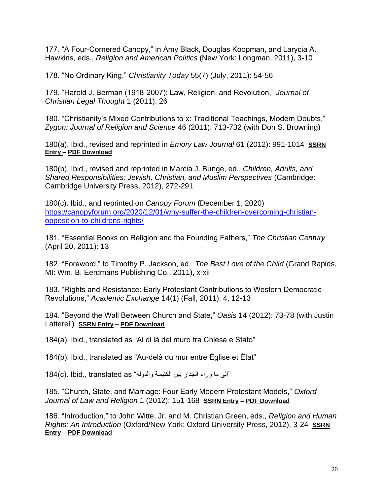177. "A Four-Cornered Canopy," in Amy Black, Douglas Koopman, and Larycia A. Hawkins, eds., *Religion and American Politics* (New York: Longman, 2011), 3-10

178. "No Ordinary King," *Christianity Today* 55(7) (July, 2011): 54-56

179. "Harold J. Berman (1918-2007): Law, Religion, and Revolution," *Journal of Christian Legal Thought* 1 (2011): 26

180. "Christianity's Mixed Contributions to x: Traditional Teachings, Modern Doubts," *Zygon: Journal of Religion and Science* 46 (2011): 713-732 (with Don S. Browning)

180(a). Ibid., revised and reprinted in *Emory Law Journal* 61 (2012): 991-1014 **[SSRN](https://papers.ssrn.com/sol3/papers.cfm?abstract_id=2705588)  [Entry –](https://papers.ssrn.com/sol3/papers.cfm?abstract_id=2705588) [PDF Download](https://www.johnwittejr.com/uploads/9/0/1/4/90145433/a180a.pdf)**

180(b). Ibid., revised and reprinted in Marcia J. Bunge, ed., *Children, Adults, and Shared Responsibilities: Jewish, Christian, and Muslim Perspectives* (Cambridge: Cambridge University Press, 2012), 272-291

180(c). Ibid., and reprinted on *Canopy Forum* (December 1, 2020) [https://canopyforum.org/2020/12/01/why-suffer-the-children-overcoming-christian](https://canopyforum.org/2020/12/01/why-suffer-the-children-overcoming-christian-opposition-to-childrens-rights/)[opposition-to-childrens-rights/](https://canopyforum.org/2020/12/01/why-suffer-the-children-overcoming-christian-opposition-to-childrens-rights/)

181. "Essential Books on Religion and the Founding Fathers," *The Christian Century* (April 20, 2011): 13

182. "Foreword," to Timothy P. Jackson, ed., *The Best Love of the Child* (Grand Rapids, MI: Wm. B. Eerdmans Publishing Co., 2011), x-xii

183. "Rights and Resistance: Early Protestant Contributions to Western Democratic Revolutions," *Academic Exchange* 14(1) (Fall, 2011): 4, 12-13

184. "Beyond the Wall Between Church and State," *Oasis* 14 (2012): 73-78 (with Justin Latterell) **[SSRN Entry](https://papers.ssrn.com/sol3/papers.cfm?abstract_id=3435022) – [PDF Download](https://www.johnwittejr.com/uploads/9/0/1/4/90145433/a184.pdf)**

184(a). Ibid., translated as "Al di là del muro tra Chiesa e Stato"

184(b). Ibid., translated as "Au-delà du mur entre Église et État"

184(c). Ibid., translated as "إلى ما وراء الجدار بين الكنيسة والدولة"

185. "Church, State, and Marriage: Four Early Modern Protestant Models," *Oxford Journal of Law and Religion* 1 (2012): 151-168 **[SSRN Entry](https://papers.ssrn.com/sol3/papers.cfm?abstract_id=2517710) – [PDF Download](https://www.johnwittejr.com/uploads/9/0/1/4/90145433/a185.pdf)**

186. "Introduction," to John Witte, Jr. and M. Christian Green, eds., *Religion and Human Rights: An Introduction* (Oxford/New York: Oxford University Press, 2012), 3-24 **[SSRN](https://papers.ssrn.com/sol3/papers.cfm?abstract_id=2705614)  [Entry](https://papers.ssrn.com/sol3/papers.cfm?abstract_id=2705614) – [PDF Download](https://www.johnwittejr.com/uploads/9/0/1/4/90145433/a186.pdf)**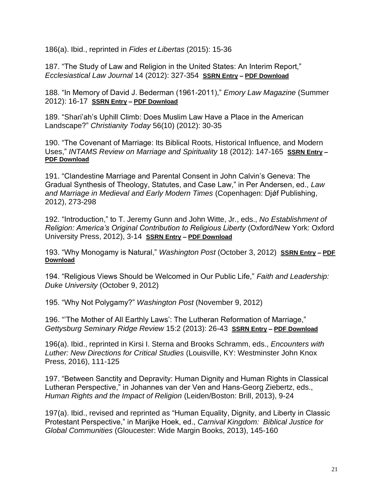186(a). Ibid., reprinted in *Fides et Libertas* (2015): 15-36

187. "The Study of Law and Religion in the United States: An Interim Report," *Ecclesiastical Law Journal* 14 (2012): 327-354 **[SSRN Entry](https://papers.ssrn.com/sol3/papers.cfm?abstract_id=2705602) – [PDF Download](https://www.johnwittejr.com/uploads/9/0/1/4/90145433/a187.pdf)**

188. "In Memory of David J. Bederman (1961-2011)," *Emory Law Magazine* (Summer 2012): 16-17 **[SSRN Entry](https://papers.ssrn.com/sol3/papers.cfm?abstract_id=3435020) – [PDF Download](https://www.johnwittejr.com/uploads/9/0/1/4/90145433/a188.pdf)**

189. "Shari'ah's Uphill Climb: Does Muslim Law Have a Place in the American Landscape?" *Christianity Today* 56(10) (2012): 30-35

190. "The Covenant of Marriage: Its Biblical Roots, Historical Influence, and Modern Uses," *INTAMS Review on Marriage and Spirituality* 18 (2012): 147-165 **[SSRN Entry](https://papers.ssrn.com/sol3/papers.cfm?abstract_id=2705616) – [PDF Download](https://www.johnwittejr.com/uploads/9/0/1/4/90145433/a190.pdf)**

191. "Clandestine Marriage and Parental Consent in John Calvin's Geneva: The Gradual Synthesis of Theology, Statutes, and Case Law," in Per Andersen, ed., *Law and Marriage in Medieval and Early Modern Times* (Copenhagen: Djǿf Publishing, 2012), 273-298

192. "Introduction," to T. Jeremy Gunn and John Witte, Jr., eds., *No Establishment of Religion: America's Original Contribution to Religious Liberty* (Oxford/New York: Oxford University Press, 2012), 3-14 **[SSRN Entry](https://papers.ssrn.com/sol3/papers.cfm?abstract_id=3435012) – [PDF Download](https://www.johnwittejr.com/uploads/9/0/1/4/90145433/a192.pdf)**

193. "Why Monogamy is Natural," *Washington Post* (October 3, 2012) **[SSRN Entry](https://papers.ssrn.com/sol3/papers.cfm?abstract_id=2705603) – [PDF](https://www.johnwittejr.com/uploads/9/0/1/4/90145433/a193.pdf)  [Download](https://www.johnwittejr.com/uploads/9/0/1/4/90145433/a193.pdf)**

194. "Religious Views Should be Welcomed in Our Public Life," *Faith and Leadership: Duke University* (October 9, 2012)

195. "Why Not Polygamy?" *Washington Post* (November 9, 2012)

196. "'The Mother of All Earthly Laws': The Lutheran Reformation of Marriage," *Gettysburg Seminary Ridge Review* 15:2 (2013): 26-43 **[SSRN Entry](https://papers.ssrn.com/sol3/papers.cfm?abstract_id=2705606) – [PDF Download](https://www.johnwittejr.com/uploads/9/0/1/4/90145433/a196.pdf)**

196(a). Ibid., reprinted in Kirsi I. Sterna and Brooks Schramm, eds., *Encounters with Luther: New Directions for Critical Studies* (Louisville, KY: Westminster John Knox Press, 2016), 111-125

197. "Between Sanctity and Depravity: Human Dignity and Human Rights in Classical Lutheran Perspective," in Johannes van der Ven and Hans-Georg Ziebertz, eds., *Human Rights and the Impact of Religion* (Leiden/Boston: Brill, 2013), 9-24

197(a). Ibid., revised and reprinted as "Human Equality, Dignity, and Liberty in Classic Protestant Perspective," in Marijke Hoek, ed., *Carnival Kingdom: Biblical Justice for Global Communities* (Gloucester: Wide Margin Books, 2013), 145-160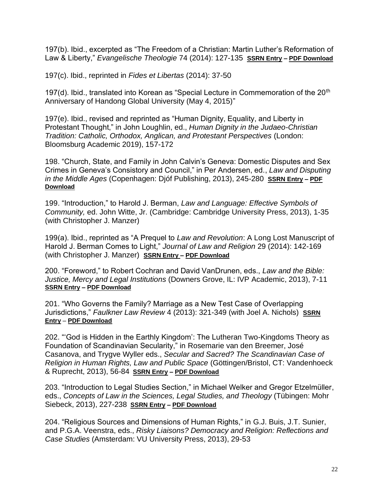197(b). Ibid., excerpted as "The Freedom of a Christian: Martin Luther's Reformation of Law & Liberty," *Evangelische Theologie* 74 (2014): 127-135 **[SSRN Entry](https://papers.ssrn.com/sol3/papers.cfm?abstract_id=2517769) – [PDF Download](https://www.johnwittejr.com/uploads/9/0/1/4/90145433/a197b.pdf)**

197(c). Ibid., reprinted in *Fides et Libertas* (2014): 37-50

197(d). Ibid., translated into Korean as "Special Lecture in Commemoration of the  $20<sup>th</sup>$ Anniversary of Handong Global University (May 4, 2015)"

197(e). Ibid., revised and reprinted as "Human Dignity, Equality, and Liberty in Protestant Thought," in John Loughlin, ed., *Human Dignity in the Judaeo-Christian Tradition: Catholic, Orthodox, Anglican, and Protestant Perspectives* (London: Bloomsburg Academic 2019), 157-172

198. "Church, State, and Family in John Calvin's Geneva: Domestic Disputes and Sex Crimes in Geneva's Consistory and Council," in Per Andersen, ed., *Law and Disputing in the Middle Ages* (Copenhagen: Djóf Publishing, 2013), 245-280 **[SSRN Entry](https://papers.ssrn.com/sol3/papers.cfm?abstract_id=2517679) – [PDF](https://www.johnwittejr.com/uploads/9/0/1/4/90145433/a198.pdf)  [Download](https://www.johnwittejr.com/uploads/9/0/1/4/90145433/a198.pdf)**

199. "Introduction," to Harold J. Berman, *Law and Language: Effective Symbols of Community,* ed. John Witte, Jr. (Cambridge: Cambridge University Press, 2013), 1-35 (with Christopher J. Manzer)

199(a). Ibid., reprinted as "A Prequel to *Law and Revolution*: A Long Lost Manuscript of Harold J. Berman Comes to Light," *Journal of Law and Religion* 29 (2014): 142-169 (with Christopher J. Manzer) **[SSRN Entry](https://papers.ssrn.com/sol3/papers.cfm?abstract_id=2517759) – [PDF Download](https://www.johnwittejr.com/uploads/9/0/1/4/90145433/a199a.pdf)**

200. "Foreword," to Robert Cochran and David VanDrunen, eds., *Law and the Bible: Justice, Mercy and Legal Institutions* (Downers Grove, IL: IVP Academic, 2013), 7-11 **[SSRN Entry](https://papers.ssrn.com/sol3/papers.cfm?abstract_id=2517682) – [PDF Download](https://www.johnwittejr.com/uploads/9/0/1/4/90145433/a200.pdf)**

201. "Who Governs the Family? Marriage as a New Test Case of Overlapping Jurisdictions," *Faulkner Law Review* 4 (2013): 321-349 (with Joel A. Nichols) **[SSRN](https://papers.ssrn.com/sol3/papers.cfm?abstract_id=2227114)  [Entry](https://papers.ssrn.com/sol3/papers.cfm?abstract_id=2227114)** – **[PDF Download](https://www.johnwittejr.com/uploads/9/0/1/4/90145433/a201.pdf)**

202. "'God is Hidden in the Earthly Kingdom': The Lutheran Two-Kingdoms Theory as Foundation of Scandinavian Secularity," in Rosemarie van den Breemer, José Casanova, and Trygve Wyller eds., *Secular and Sacred? The Scandinavian Case of Religion in Human Rights, Law and Public Space* (Göttingen/Bristol, CT: Vandenhoeck & Ruprecht, 2013), 56-84 **[SSRN Entry](https://papers.ssrn.com/sol3/papers.cfm?abstract_id=2517719) – [PDF Download](https://www.johnwittejr.com/uploads/9/0/1/4/90145433/a202.pdf)**

203. "Introduction to Legal Studies Section," in Michael Welker and Gregor Etzelmüller, eds., *Concepts of Law in the Sciences, Legal Studies, and Theology* (Tübingen: Mohr Siebeck, 2013), 227-238 **[SSRN Entry](https://papers.ssrn.com/sol3/papers.cfm?abstract_id=2517732) – [PDF Download](https://www.johnwittejr.com/uploads/9/0/1/4/90145433/a203.pdf)**

204. "Religious Sources and Dimensions of Human Rights," in G.J. Buis, J.T. Sunier, and P.G.A. Veenstra, eds., *Risky Liaisons? Democracy and Religion: Reflections and Case Studies* (Amsterdam: VU University Press, 2013), 29-53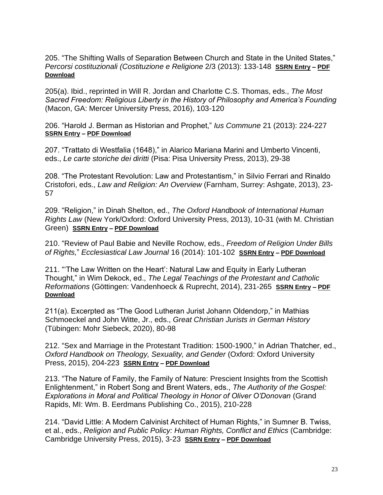205. "The Shifting Walls of Separation Between Church and State in the United States," *Percorsi costituzionali (Costituzione e Religione* 2/3 (2013): 133-148 **[SSRN Entry](https://papers.ssrn.com/sol3/papers.cfm?abstract_id=2517758) – [PDF](https://www.johnwittejr.com/uploads/5/4/6/6/54662393/a205.pdf)  [Download](https://www.johnwittejr.com/uploads/5/4/6/6/54662393/a205.pdf)**

205(a). Ibid., reprinted in Will R. Jordan and Charlotte C.S. Thomas, eds., *The Most Sacred Freedom: Religious Liberty in the History of Philosophy and America's Founding*  (Macon, GA: Mercer University Press, 2016), 103-120

206. "Harold J. Berman as Historian and Prophet," *Ius Commune* 21 (2013): 224-227 **[SSRN Entry](https://papers.ssrn.com/sol3/papers.cfm?abstract_id=2517705) – [PDF Download](https://www.johnwittejr.com/uploads/9/0/1/4/90145433/a206.pdf)**

207. "Trattato di Westfalia (1648)," in Alarico Mariana Marini and Umberto Vincenti, eds., *Le carte storiche dei diritti* (Pisa: Pisa University Press, 2013), 29-38

208. "The Protestant Revolution: Law and Protestantism," in Silvio Ferrari and Rinaldo Cristofori, eds., *Law and Religion: An Overview* (Farnham, Surrey: Ashgate, 2013), 23- 57

209. "Religion," in Dinah Shelton, ed., *The Oxford Handbook of International Human Rights Law* (New York/Oxford: Oxford University Press, 2013), 10-31 (with M. Christian Green) **[SSRN Entry](https://papers.ssrn.com/sol3/papers.cfm?abstract_id=2517762) – [PDF Download](https://www.johnwittejr.com/uploads/9/0/1/4/90145433/a209.pdf)**

210. "Review of Paul Babie and Neville Rochow, eds., *Freedom of Religion Under Bills of Rights,*" *Ecclesiastical Law Journal* 16 (2014): 101-102 **[SSRN Entry](https://papers.ssrn.com/sol3/papers.cfm?abstract_id=2517702) – [PDF Download](https://www.johnwittejr.com/uploads/9/0/1/4/90145433/a210.pdf)**

211. "'The Law Written on the Heart': Natural Law and Equity in Early Lutheran Thought," in Wim Dekock, ed., *The Legal Teachings of the Protestant and Catholic Reformations* (Göttingen: Vandenhoeck & Ruprecht, 2014), 231-265 **[SSRN Entry](https://papers.ssrn.com/sol3/papers.cfm?abstract_id=2705607) – [PDF](https://www.johnwittejr.com/uploads/9/0/1/4/90145433/a211.pdf)  [Download](https://www.johnwittejr.com/uploads/9/0/1/4/90145433/a211.pdf)**

211(a). Excerpted as "The Good Lutheran Jurist Johann Oldendorp," in Mathias Schmoeckel and John Witte, Jr., eds., *Great Christian Jurists in German History*  (Tübingen: Mohr Siebeck, 2020), 80-98

212. "Sex and Marriage in the Protestant Tradition: 1500-1900," in Adrian Thatcher, ed., *Oxford Handbook on Theology, Sexuality, and Gender* (Oxford: Oxford University Press, 2015), 204-223 **[SSRN Entry](https://papers.ssrn.com/sol3/papers.cfm?abstract_id=2517754) – [PDF Download](https://www.johnwittejr.com/uploads/9/0/1/4/90145433/a212.pdf)**

213. "The Nature of Family, the Family of Nature: Prescient Insights from the Scottish Enlightenment," in Robert Song and Brent Waters, eds., *The Authority of the Gospel: Explorations in Moral and Political Theology in Honor of Oliver O'Donovan* (Grand Rapids, MI: Wm. B. Eerdmans Publishing Co., 2015), 210-228

214. "David Little: A Modern Calvinist Architect of Human Rights," in Sumner B. Twiss, et al., eds., *Religion and Public Policy: Human Rights, Conflict and Ethics* (Cambridge: Cambridge University Press, 2015), 3-23 **[SSRN Entry](https://papers.ssrn.com/sol3/papers.cfm?abstract_id=2897101) – [PDF Download](https://www.johnwittejr.com/uploads/9/0/1/4/90145433/a214.pdf)**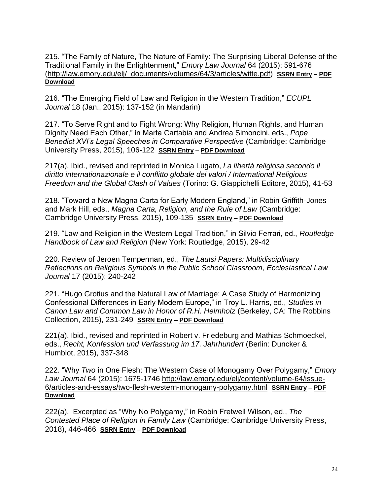215. "The Family of Nature, The Nature of Family: The Surprising Liberal Defense of the Traditional Family in the Enlightenment," *Emory Law Journal* 64 (2015): 591-676 [\(http://law.emory.edu/elj/\\_documents/volumes/64/3/articles/witte.pdf\)](http://law.emory.edu/elj/_documents/volumes/64/3/articles/witte.pdf) **[SSRN Entry](https://papers.ssrn.com/sol3/papers.cfm?abstract_id=3427428) – [PDF](https://www.johnwittejr.com/uploads/9/0/1/4/90145433/a215.pdf)  [Download](https://www.johnwittejr.com/uploads/9/0/1/4/90145433/a215.pdf)**

216. "The Emerging Field of Law and Religion in the Western Tradition," *ECUPL Journal* 18 (Jan., 2015): 137-152 (in Mandarin)

217. "To Serve Right and to Fight Wrong: Why Religion, Human Rights, and Human Dignity Need Each Other," in Marta Cartabia and Andrea Simoncini, eds., *Pope Benedict XVI's Legal Speeches in Comparative Perspective* (Cambridge: Cambridge University Press, 2015), 106-122 **[SSRN Entry](https://papers.ssrn.com/sol3/papers.cfm?abstract_id=2705622) – [PDF Download](https://www.johnwittejr.com/uploads/9/0/1/4/90145433/a217.pdf)**

217(a). Ibid., revised and reprinted in Monica Lugato, *La libertà religiosa secondo il diritto internationazionale e il conflitto globale dei valori / International Religious Freedom and the Global Clash of Values* (Torino: G. Giappichelli Editore, 2015), 41-53

218. "Toward a New Magna Carta for Early Modern England," in Robin Griffith-Jones and Mark Hill, eds., *Magna Carta, Religion, and the Rule of Law* (Cambridge: Cambridge University Press, 2015), 109-135 **[SSRN Entry](https://papers.ssrn.com/sol3/papers.cfm?abstract_id=2897105) – [PDF Download](https://www.johnwittejr.com/uploads/9/0/1/4/90145433/a218.pdf)**

219. "Law and Religion in the Western Legal Tradition," in Silvio Ferrari, ed., *Routledge Handbook of Law and Religion* (New York: Routledge, 2015), 29-42

220. Review of Jeroen Temperman, ed., *The Lautsi Papers: Multidisciplinary Reflections on Religious Symbols in the Public School Classroom*, *Ecclesiastical Law Journal* 17 (2015): 240-242

221. "Hugo Grotius and the Natural Law of Marriage: A Case Study of Harmonizing Confessional Differences in Early Modern Europe," in Troy L. Harris, ed., *Studies in Canon Law and Common Law in Honor of R.H. Helmholz* (Berkeley, CA: The Robbins Collection, 2015), 231-249 **[SSRN Entry](https://papers.ssrn.com/sol3/papers.cfm?abstract_id=2897654) – [PDF Download](https://www.johnwittejr.com/uploads/9/0/1/4/90145433/a221.pdf)**

221(a). Ibid., revised and reprinted in Robert v. Friedeburg and Mathias Schmoeckel, eds., *Recht, Konfession und Verfassung im 17. Jahrhundert* (Berlin: Duncker & Humblot, 2015), 337-348

222. "Why *Two* in One Flesh: The Western Case of Monogamy Over Polygamy," *Emory Law Journal* 64 (2015): 1675-1746 [http://law.emory.edu/elj/content/volume-64/issue-](http://law.emory.edu/elj/content/volume-64/issue-6/articles-and-essays/two-flesh-western-monogamy-polygamy.html)[6/articles-and-essays/two-flesh-western-monogamy-polygamy.html](http://law.emory.edu/elj/content/volume-64/issue-6/articles-and-essays/two-flesh-western-monogamy-polygamy.html) **[SSRN Entry](https://papers.ssrn.com/sol3/papers.cfm?abstract_id=2897657) – [PDF](https://www.johnwittejr.com/uploads/9/0/1/4/90145433/a222.pdf)  [Download](https://www.johnwittejr.com/uploads/9/0/1/4/90145433/a222.pdf)**

222(a). Excerpted as "Why No Polygamy," in Robin Fretwell Wilson, ed., *The Contested Place of Religion in Family Law* (Cambridge: Cambridge University Press, 2018), 446-466 **[SSRN Entry](https://papers.ssrn.com/sol3/papers.cfm?abstract_id=3092328) – [PDF Download](https://www.johnwittejr.com/uploads/9/0/1/4/90145433/a222a.pdf)**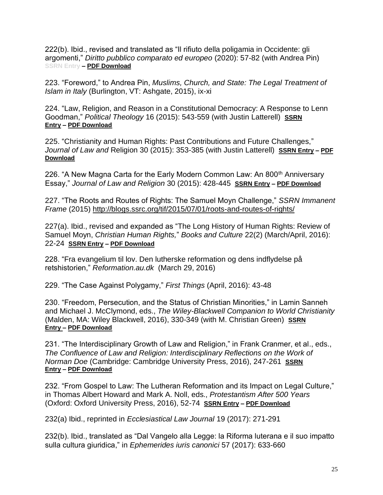222(b). Ibid., revised and translated as "Il rifiuto della poligamia in Occidente: gli argomenti," *Diritto pubblico comparato ed europeo* (2020): 57-82 (with Andrea Pin) **SSRN Entry – [PDF Download](https://www.johnwittejr.com/uploads/9/0/1/4/90145433/a222b.pdf)**

223. "Foreword," to Andrea Pin, *Muslims, Church, and State: The Legal Treatment of Islam in Italy* (Burlington, VT: Ashgate, 2015), ix-xi

224. "Law, Religion, and Reason in a Constitutional Democracy: A Response to Lenn Goodman," *Political Theology* 16 (2015): 543-559 (with Justin Latterell) **[SSRN](https://papers.ssrn.com/sol3/papers.cfm?abstract_id=2897695)  [Entry](https://papers.ssrn.com/sol3/papers.cfm?abstract_id=2897695) – [PDF Download](https://www.johnwittejr.com/uploads/9/0/1/4/90145433/a224.pdf)**

225. "Christianity and Human Rights: Past Contributions and Future Challenges," *Journal of Law and* Religion 30 (2015): 353-385 (with Justin Latterell) **[SSRN Entry](https://papers.ssrn.com/sol3/papers.cfm?abstract_id=2897547) – [PDF](https://www.johnwittejr.com/uploads/9/0/1/4/90145433/a225.pdf)  [Download](https://www.johnwittejr.com/uploads/9/0/1/4/90145433/a225.pdf)**

226. "A New Magna Carta for the Early Modern Common Law: An 800<sup>th</sup> Anniversary Essay," *Journal of Law and Religion* 30 (2015): 428-445 **[SSRN Entry](https://papers.ssrn.com/sol3/papers.cfm?abstract_id=3427421) – [PDF Download](https://www.johnwittejr.com/uploads/9/0/1/4/90145433/a226.pdf)**

227. "The Roots and Routes of Rights: The Samuel Moyn Challenge," *SSRN Immanent Frame* (2015)<http://blogs.ssrc.org/tif/2015/07/01/roots-and-routes-of-rights/>

227(a). Ibid., revised and expanded as "The Long History of Human Rights: Review of Samuel Moyn, *Christian Human Rights,*" *Books and Culture* 22(2) (March/April, 2016): 22-24 **[SSRN Entry](https://papers.ssrn.com/sol3/papers.cfm?abstract_id=3427418) – [PDF Download](https://www.johnwittejr.com/uploads/9/0/1/4/90145433/a227a.pdf)**

228. "Fra evangelium til lov. Den lutherske reformation og dens indflydelse på retshistorien," *Reformation.au.dk* (March 29, 2016)

229. "The Case Against Polygamy," *First Things* (April, 2016): 43-48

230. "Freedom, Persecution, and the Status of Christian Minorities," in Lamin Sanneh and Michael J. McClymond, eds., *The Wiley-Blackwell Companion to World Christianity*  (Malden, MA: Wiley Blackwell, 2016), 330-349 (with M. Christian Green) **[SSRN](https://papers.ssrn.com/sol3/papers.cfm?abstract_id=2517715)  [Entry](https://papers.ssrn.com/sol3/papers.cfm?abstract_id=2517715) – [PDF Download](https://www.johnwittejr.com/uploads/9/0/1/4/90145433/a230.pdf)**

231. "The Interdisciplinary Growth of Law and Religion," in Frank Cranmer, et al., eds., *The Confluence of Law and Religion: Interdisciplinary Reflections on the Work of Norman Doe* (Cambridge: Cambridge University Press, 2016), 247-261 **[SSRN](https://papers.ssrn.com/sol3/papers.cfm?abstract_id=3427410)  [Entry](https://papers.ssrn.com/sol3/papers.cfm?abstract_id=3427410) – [PDF Download](https://www.johnwittejr.com/uploads/9/0/1/4/90145433/a231.pdf)**

232. "From Gospel to Law: The Lutheran Reformation and its Impact on Legal Culture," in Thomas Albert Howard and Mark A. Noll, eds., *Protestantism After 500 Years*  (Oxford: Oxford University Press, 2016), 52-74 **[SSRN Entry](https://papers.ssrn.com/sol3/papers.cfm?abstract_id=2517716) – [PDF Download](https://www.johnwittejr.com/uploads/9/0/1/4/90145433/a232.pdf)**

232(a) Ibid., reprinted in *Ecclesiastical Law Journal* 19 (2017): 271-291

232(b). Ibid., translated as "Dal Vangelo alla Legge: la Riforma luterana e il suo impatto sulla cultura giuridica," in *Ephemerides iuris canonici* 57 (2017): 633-660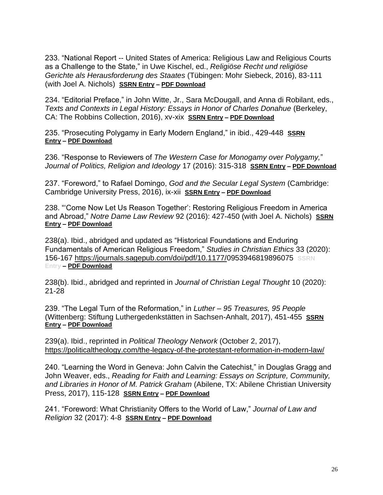233. "National Report -- United States of America: Religious Law and Religious Courts as a Challenge to the State," in Uwe Kischel, ed., *Religiöse Recht und religiöse Gerichte als Herausforderung des Staates* (Tübingen: Mohr Siebeck, 2016), 83-111 (with Joel A. Nichols) **[SSRN Entry](https://papers.ssrn.com/sol3/papers.cfm?abstract_id=2842462) – [PDF Download](https://www.johnwittejr.com/uploads/9/0/1/4/90145433/a233.pdf)**

234. "Editorial Preface," in John Witte, Jr., Sara McDougall, and Anna di Robilant, eds., *Texts and Contexts in Legal History: Essays in Honor of Charles Donahue (Berkeley,* CA: The Robbins Collection, 2016), xv-xix **[SSRN Entry](https://papers.ssrn.com/sol3/papers.cfm?abstract_id=2897622) – [PDF Download](https://www.johnwittejr.com/uploads/9/0/1/4/90145433/a234.pdf)**

235. "Prosecuting Polygamy in Early Modern England," in ibid., 429-448 **[SSRN](https://papers.ssrn.com/sol3/papers.cfm?abstract_id=2897666)  [Entry](https://papers.ssrn.com/sol3/papers.cfm?abstract_id=2897666) – [PDF Download](https://www.johnwittejr.com/uploads/9/0/1/4/90145433/a235.pdf)**

236. "Response to Reviewers of *The Western Case for Monogamy over Polygamy,*" *Journal of Politics, Religion and Ideology* 17 (2016): 315-318 **[SSRN Entry](https://papers.ssrn.com/sol3/papers.cfm?abstract_id=3427407) – [PDF Download](https://www.johnwittejr.com/uploads/9/0/1/4/90145433/a236.pdf)**

237. "Foreword," to Rafael Domingo, *God and the Secular Legal System* (Cambridge: Cambridge University Press, 2016), ix-xii **[SSRN Entry](https://papers.ssrn.com/sol3/papers.cfm?abstract_id=2897693) – [PDF Download](https://www.johnwittejr.com/uploads/9/0/1/4/90145433/a237.pdf)**

238. "'Come Now Let Us Reason Together': Restoring Religious Freedom in America and Abroad," *Notre Dame Law Review* 92 (2016): 427-450 (with Joel A. Nichols) **[SSRN](https://papers.ssrn.com/sol3/papers.cfm?abstract_id=2897651)  [Entry](https://papers.ssrn.com/sol3/papers.cfm?abstract_id=2897651) – [PDF Download](https://www.johnwittejr.com/uploads/9/0/1/4/90145433/a238.pdf)**

238(a). Ibid., abridged and updated as "Historical Foundations and Enduring Fundamentals of American Religious Freedom," *Studies in Christian Ethics* 33 (2020): 156-167 <https://journals.sagepub.com/doi/pdf/10.1177/0953946819896075>**SSRN Entry – [PDF Download](https://www.johnwittejr.com/uploads/9/0/1/4/90145433/a238a.pdf)**

238(b). Ibid., abridged and reprinted in *Journal of Christian Legal Thought* 10 (2020): 21-28

239. "The Legal Turn of the Reformation," in *Luther – 95 Treasures, 95 People* (Wittenberg: Stiftung Luthergedenkstätten in Sachsen-Anhalt, 2017), 451-455 **[SSRN](https://papers.ssrn.com/sol3/papers.cfm?abstract_id=3092244)  [Entry](https://papers.ssrn.com/sol3/papers.cfm?abstract_id=3092244) – [PDF Download](https://www.johnwittejr.com/uploads/9/0/1/4/90145433/a239.pdf)**

239(a). Ibid., reprinted in *Political Theology Network* (October 2, 2017), <https://politicaltheology.com/the-legacy-of-the-protestant-reformation-in-modern-law/>

240. "Learning the Word in Geneva: John Calvin the Catechist," in Douglas Gragg and John Weaver, eds., *Reading for Faith and Learning: Essays on Scripture, Community, and Libraries in Honor of M. Patrick Graham* (Abilene, TX: Abilene Christian University Press, 2017), 115-128 **[SSRN Entry](https://papers.ssrn.com/sol3/papers.cfm?abstract_id=3092249) – [PDF Download](https://www.johnwittejr.com/uploads/9/0/1/4/90145433/a240.pdf)**

241. "Foreword: What Christianity Offers to the World of Law," *Journal of Law and Religion* 32 (2017): 4-8 **[SSRN Entry](https://papers.ssrn.com/sol3/papers.cfm?abstract_id=3092250) – [PDF Download](https://www.johnwittejr.com/uploads/9/0/1/4/90145433/a241.pdf)**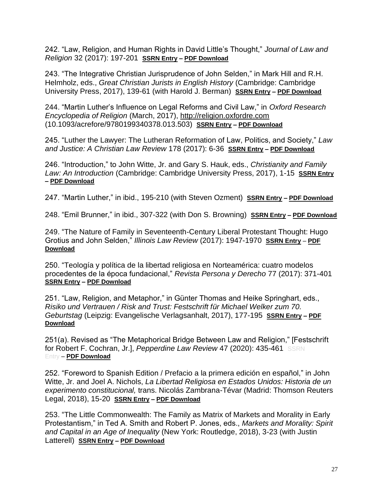242. "Law, Religion, and Human Rights in David Little's Thought," *Journal of Law and Religion* 32 (2017): 197-201 **[SSRN Entry](https://papers.ssrn.com/sol3/papers.cfm?abstract_id=3091871) – [PDF Download](https://www.johnwittejr.com/uploads/9/0/1/4/90145433/a242.pdf)**

243. "The Integrative Christian Jurisprudence of John Selden," in Mark Hill and R.H. Helmholz, eds., *Great Christian Jurists in English History* (Cambridge: Cambridge University Press, 2017), 139-61 (with Harold J. Berman) **[SSRN Entry](https://papers.ssrn.com/sol3/papers.cfm?abstract_id=3099587) – [PDF Download](https://www.johnwittejr.com/uploads/9/0/1/4/90145433/a243.pdf)**

244. "Martin Luther's Influence on Legal Reforms and Civil Law," in *Oxford Research Encyclopedia of Religion* (March, 2017), [http://religion.oxfordre.com](http://religion.oxfordre.com/) (10.1093/acrefore/9780199340378.013.503) **[SSRN Entry](https://papers.ssrn.com/sol3/papers.cfm?abstract_id=3092255) – [PDF Download](https://www.johnwittejr.com/uploads/9/0/1/4/90145433/a244.pdf)**

245. "Luther the Lawyer: The Lutheran Reformation of Law, Politics, and Society," *Law and Justice: A Christian Law Review* 178 (2017): 6-36 **[SSRN Entry](https://papers.ssrn.com/sol3/papers.cfm?abstract_id=3092276) – [PDF Download](https://www.johnwittejr.com/uploads/9/0/1/4/90145433/a245.pdf)**

246. "Introduction," to John Witte, Jr. and Gary S. Hauk, eds., *Christianity and Family Law: An Introduction* (Cambridge: Cambridge University Press, 2017), 1-15 **[SSRN Entry](https://papers.ssrn.com/sol3/papers.cfm?abstract_id=3091873) – [PDF Download](https://www.johnwittejr.com/uploads/9/0/1/4/90145433/a246.pdf)**

247. "Martin Luther," in ibid., 195-210 (with Steven Ozment) **[SSRN Entry](https://papers.ssrn.com/sol3/papers.cfm?abstract_id=3091896) – PDF [Download](https://www.johnwittejr.com/uploads/9/0/1/4/90145433/a247.pdf)**

248. "Emil Brunner," in ibid., 307-322 (with Don S. Browning) **[SSRN Entry](https://papers.ssrn.com/sol3/papers.cfm?abstract_id=3092243) – [PDF Download](https://www.johnwittejr.com/uploads/9/0/1/4/90145433/a248.pdf)**

249. "The Nature of Family in Seventeenth-Century Liberal Protestant Thought: Hugo Grotius and John Selden," *Illinois Law Review* (2017): 1947-1970 **[SSRN Entry](https://papers.ssrn.com/sol3/papers.cfm?abstract_id=3099617)** – **[PDF](https://www.johnwittejr.com/uploads/9/0/1/4/90145433/a249.pdf)  [Download](https://www.johnwittejr.com/uploads/9/0/1/4/90145433/a249.pdf)**

250. "Teología y política de la libertad religiosa en Norteamérica: cuatro modelos procedentes de la época fundacional," *Revista Persona y Derecho* 77 (2017): 371-401 **[SSRN Entry](https://papers.ssrn.com/sol3/papers.cfm?abstract_id=3094041) – [PDF Download](https://www.johnwittejr.com/uploads/9/0/1/4/90145433/a250.pdf)**

251. "Law, Religion, and Metaphor," in Günter Thomas and Heike Springhart, eds., *Risiko und Vertrauen / Risk and Trust: Festschrift für Michael Welker zum 70. Geburtstag* (Leipzig: Evangelische Verlagsanhalt, 2017), 177-195 **[SSRN Entry](https://papers.ssrn.com/sol3/papers.cfm?abstract_id=3094037) – [PDF](https://www.johnwittejr.com/uploads/9/0/1/4/90145433/a251.pdf)  [Download](https://www.johnwittejr.com/uploads/9/0/1/4/90145433/a251.pdf)**

251(a). Revised as "The Metaphorical Bridge Between Law and Religion," [Festschrift for Robert F. Cochran, Jr.], *Pepperdine Law Review* 47 (2020): 435-461 SSRN Entry – **[PDF Download](https://www.johnwittejr.com/uploads/9/0/1/4/90145433/a251a.pdf)**

252. "Foreword to Spanish Edition / Prefacio a la primera edición en español," in John Witte, Jr. and Joel A. Nichols, *La Libertad Religiosa en Estados Unidos: Historia de un experimento constitucional,* trans. Nicolás Zambrana-Tévar (Madrid: Thomson Reuters Legal, 2018), 15-20 **[SSRN Entry](https://papers.ssrn.com/sol3/papers.cfm?abstract_id=3422394) – [PDF Download](https://www.johnwittejr.com/uploads/9/0/1/4/90145433/a252.pdf)**

253. "The Little Commonwealth: The Family as Matrix of Markets and Morality in Early Protestantism," in Ted A. Smith and Robert P. Jones, eds., *Markets and Morality: Spirit and Capital in an Age of Inequality* (New York: Routledge, 2018), 3-23 (with Justin Latterell) **[SSRN Entry](https://papers.ssrn.com/sol3/papers.cfm?abstract_id=3286064) – [PDF Download](https://www.johnwittejr.com/uploads/9/0/1/4/90145433/a253.pdf)**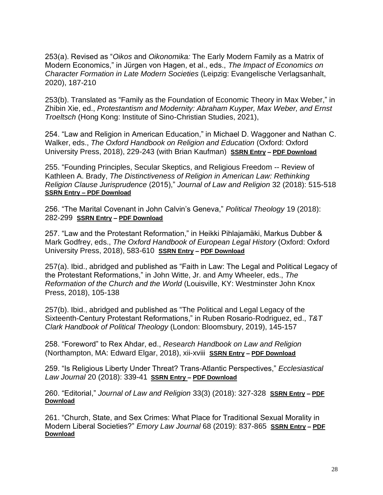253(a). Revised as "*Oikos* and *Oikonomika:* The Early Modern Family as a Matrix of Modern Economics," in Jürgen von Hagen, et al., eds., *The Impact of Economics on Character Formation in Late Modern Societies* (Leipzig: Evangelische Verlagsanhalt, 2020), 187-210

253(b). Translated as "Family as the Foundation of Economic Theory in Max Weber," in Zhibin Xie, ed., *Protestantism and Modernity: Abraham Kuyper, Max Weber, and Ernst Troeltsch* (Hong Kong: Institute of Sino-Christian Studies, 2021),

254. "Law and Religion in American Education," in Michael D. Waggoner and Nathan C. Walker, eds., *The Oxford Handbook on Religion and Education* (Oxford: Oxford University Press, 2018), 229-243 (with Brian Kaufman) **[SSRN Entry](https://papers.ssrn.com/sol3/papers.cfm?abstract_id=3286065) – [PDF Download](https://www.johnwittejr.com/uploads/9/0/1/4/90145433/a254.pdf)**

255. "Founding Principles, Secular Skeptics, and Religious Freedom -- Review of Kathleen A. Brady, *The Distinctiveness of Religion in American Law: Rethinking Religion Clause Jurisprudence* (2015)," *Journal of Law and Religion* 32 (2018): 515-518 **[SSRN Entry](https://papers.ssrn.com/sol3/papers.cfm?abstract_id=3286061) – [PDF Download](https://www.johnwittejr.com/uploads/9/0/1/4/90145433/a255.pdf)**

256. "The Marital Covenant in John Calvin's Geneva," *Political Theology* 19 (2018): 282-299 **[SSRN Entry](https://papers.ssrn.com/sol3/papers.cfm?abstract_id=3286069) – [PDF Download](https://www.johnwittejr.com/uploads/9/0/1/4/90145433/a256.pdf)**

257. "Law and the Protestant Reformation," in Heikki Pihlajamäki, Markus Dubber & Mark Godfrey, eds., *The Oxford Handbook of European Legal History* (Oxford: Oxford University Press, 2018), 583-610 **[SSRN Entry](https://papers.ssrn.com/sol3/papers.cfm?abstract_id=3286074) – [PDF Download](https://www.johnwittejr.com/uploads/9/0/1/4/90145433/a257.pdf)**

257(a). Ibid., abridged and published as "Faith in Law: The Legal and Political Legacy of the Protestant Reformations," in John Witte, Jr. and Amy Wheeler, eds., *The Reformation of the Church and the World* (Louisville, KY: Westminster John Knox Press, 2018), 105-138

257(b). Ibid., abridged and published as "The Political and Legal Legacy of the Sixteenth-Century Protestant Reformations," in Ruben Rosario-Rodriguez, ed., *T&T Clark Handbook of Political Theology* (London: Bloomsbury, 2019), 145-157

258. "Foreword" to Rex Ahdar, ed., *Research Handbook on Law and Religion*  (Northampton, MA: Edward Elgar, 2018), xii-xviii **[SSRN Entry](https://papers.ssrn.com/sol3/papers.cfm?abstract_id=3286078) – [PDF Download](https://www.johnwittejr.com/uploads/9/0/1/4/90145433/a258.pdf)**

259. "Is Religious Liberty Under Threat? Trans-Atlantic Perspectives," *Ecclesiastical Law Journal* 20 (2018): 339-41 **[SSRN Entry](https://papers.ssrn.com/sol3/papers.cfm?abstract_id=3286082) – [PDF Download](https://www.johnwittejr.com/uploads/9/0/1/4/90145433/a259.pdf)**

260. "Editorial," *Journal of Law and Religion* 33(3) (2018): 327-328 **[SSRN Entry](https://papers.ssrn.com/sol3/papers.cfm?abstract_id=3529642) – [PDF](https://www.johnwittejr.com/uploads/9/0/1/4/90145433/a260.pdf)  [Download](https://www.johnwittejr.com/uploads/9/0/1/4/90145433/a260.pdf)**

261. "Church, State, and Sex Crimes: What Place for Traditional Sexual Morality in Modern Liberal Societies?" *Emory Law Journal* 68 (2019): 837-865 **[SSRN Entry](https://papers.ssrn.com/sol3/papers.cfm?abstract_id=3422400) – [PDF](https://www.johnwittejr.com/uploads/9/0/1/4/90145433/a261.pdf)  [Download](https://www.johnwittejr.com/uploads/9/0/1/4/90145433/a261.pdf)**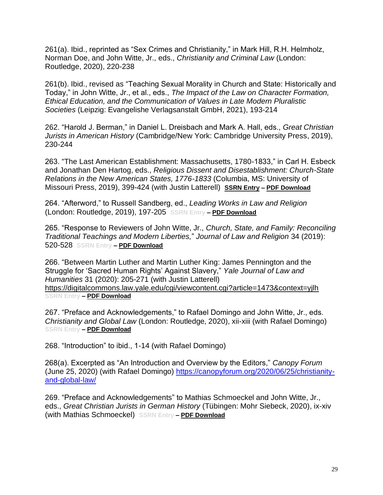261(a). Ibid., reprinted as "Sex Crimes and Christianity," in Mark Hill, R.H. Helmholz, Norman Doe, and John Witte, Jr., eds., *Christianity and Criminal Law* (London: Routledge, 2020), 220-238

261(b). Ibid., revised as "Teaching Sexual Morality in Church and State: Historically and Today," in John Witte, Jr., et al., eds., *The Impact of the Law on Character Formation, Ethical Education, and the Communication of Values in Late Modern Pluralistic Societies* (Leipzig: Evangelishe Verlagsanstalt GmbH, 2021), 193-214

262. "Harold J. Berman," in Daniel L. Dreisbach and Mark A. Hall, eds., *Great Christian Jurists in American History* (Cambridge/New York: Cambridge University Press, 2019), 230-244

263. "The Last American Establishment: Massachusetts, 1780-1833," in Carl H. Esbeck and Jonathan Den Hartog, eds., *Religious Dissent and Disestablishment: Church-State Relations in the New American States, 1776-1833* (Columbia, MS: University of Missouri Press, 2019), 399-424 (with Justin Latterell) **[SSRN Entry](https://papers.ssrn.com/sol3/papers.cfm?abstract_id=3529592) – [PDF Download](https://www.johnwittejr.com/uploads/9/0/1/4/90145433/a263.pdf)**

264. "Afterword," to Russell Sandberg, ed., *Leading Works in Law and Religion*  (London: Routledge, 2019), 197-205 **SSRN Entry – [PDF Download](https://www.johnwittejr.com/uploads/9/0/1/4/90145433/a264.pdf)**

265. "Response to Reviewers of John Witte, Jr., *Church, State, and Family: Reconciling Traditional Teachings and Modern Liberties,*" *Journal of Law and Religion* 34 (2019): 520-528 **SSRN Entry – [PDF Download](https://www.johnwittejr.com/uploads/9/0/1/4/90145433/a265.pdf)**

266. "Between Martin Luther and Martin Luther King: James Pennington and the Struggle for 'Sacred Human Rights' Against Slavery," *Yale Journal of Law and Humanities* 31 (2020): 205-271 (with Justin Latterell) <https://digitalcommons.law.yale.edu/cgi/viewcontent.cgi?article=1473&context=yjlh> **SSRN Entry – [PDF Download](https://www.johnwittejr.com/uploads/9/0/1/4/90145433/a266.pdf)**

267. "Preface and Acknowledgements," to Rafael Domingo and John Witte, Jr., eds. *Christianity and Global Law* (London: Routledge, 2020), xii-xiii (with Rafael Domingo) **SSRN Entry – [PDF Download](https://www.johnwittejr.com/uploads/9/0/1/4/90145433/a268.pdf)**

268. "Introduction" to ibid., 1-14 (with Rafael Domingo)

268(a). Excerpted as "An Introduction and Overview by the Editors," *Canopy Forum*  (June 25, 2020) (with Rafael Domingo) [https://canopyforum.org/2020/06/25/christianity](https://canopyforum.org/2020/06/25/christianity-and-global-law/)[and-global-law/](https://canopyforum.org/2020/06/25/christianity-and-global-law/)

269. "Preface and Acknowledgements" to Mathias Schmoeckel and John Witte, Jr., eds., *Great Christian Jurists in German History* (Tübingen: Mohr Siebeck, 2020), ix-xiv (with Mathias Schmoeckel) **SSRN Entry – [PDF Download](https://www.johnwittejr.com/uploads/9/0/1/4/90145433/a269.pdf)**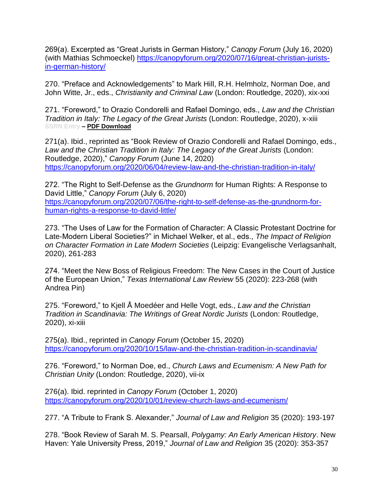269(a). Excerpted as "Great Jurists in German History," *Canopy Forum* (July 16, 2020) (with Mathias Schmoeckel) [https://canopyforum.org/2020/07/16/great-christian-jurists](https://canopyforum.org/2020/07/16/great-christian-jurists-in-german-history/)[in-german-history/](https://canopyforum.org/2020/07/16/great-christian-jurists-in-german-history/)

270. "Preface and Acknowledgements" to Mark Hill, R.H. Helmholz, Norman Doe, and John Witte, Jr., eds., *Christianity and Criminal Law* (London: Routledge, 2020), xix-xxi

271. "Foreword," to Orazio Condorelli and Rafael Domingo, eds., *Law and the Christian Tradition in Italy: The Legacy of the Great Jurists* (London: Routledge, 2020), x-xiii **SSRN Entry – [PDF Download](https://www.johnwittejr.com/uploads/9/0/1/4/90145433/a271.pdf)**

271(a). Ibid., reprinted as "Book Review of Orazio Condorelli and Rafael Domingo, eds., Law and the Christian Tradition in Italy: The Legacy of the Great Jurists (London: Routledge, 2020)," *Canopy Forum* (June 14, 2020) <https://canopyforum.org/2020/06/04/review-law-and-the-christian-tradition-in-italy/>

272. "The Right to Self-Defense as the *Grundnorm* for Human Rights: A Response to David Little," *Canopy Forum* (July 6, 2020) [https://canopyforum.org/2020/07/06/the-right-to-self-defense-as-the-grundnorm-for](https://canopyforum.org/2020/07/06/the-right-to-self-defense-as-the-grundnorm-for-human-rights-a-response-to-david-little/)[human-rights-a-response-to-david-little/](https://canopyforum.org/2020/07/06/the-right-to-self-defense-as-the-grundnorm-for-human-rights-a-response-to-david-little/)

273. "The Uses of Law for the Formation of Character: A Classic Protestant Doctrine for Late-Modern Liberal Societies?" in Michael Welker, et al., eds., *The Impact of Religion on Character Formation in Late Modern Societies* (Leipzig: Evangelische Verlagsanhalt, 2020), 261-283

274. "Meet the New Boss of Religious Freedom: The New Cases in the Court of Justice of the European Union," *Texas International Law Review* 55 (2020): 223-268 (with Andrea Pin)

275. "Foreword," to Kjell Å Moedéer and Helle Vogt, eds., *Law and the Christian Tradition in Scandinavia: The Writings of Great Nordic Jurists* (London: Routledge, 2020), xi-xiii

275(a). Ibid., reprinted in *Canopy Forum* (October 15, 2020) <https://canopyforum.org/2020/10/15/law-and-the-christian-tradition-in-scandinavia/>

276. "Foreword," to Norman Doe, ed., *Church Laws and Ecumenism: A New Path for Christian Unity* (London: Routledge, 2020), vii-ix

276(a). Ibid. reprinted in *Canopy Forum* (October 1, 2020) <https://canopyforum.org/2020/10/01/review-church-laws-and-ecumenism/>

277. "A Tribute to Frank S. Alexander," *Journal of Law and Religion* 35 (2020): 193-197

278. "Book Review of Sarah M. S. Pearsall, *Polygamy: An Early American History*. New Haven: Yale University Press, 2019," *Journal of Law and Religion* 35 (2020): 353-357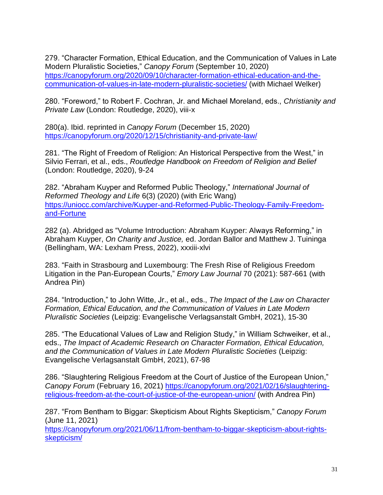279. "Character Formation, Ethical Education, and the Communication of Values in Late Modern Pluralistic Societies," *Canopy Forum* (September 10, 2020) [https://canopyforum.org/2020/09/10/character-formation-ethical-education-and-the](https://canopyforum.org/2020/09/10/character-formation-ethical-education-and-the-communication-of-values-in-late-modern-pluralistic-societies/)[communication-of-values-in-late-modern-pluralistic-societies/](https://canopyforum.org/2020/09/10/character-formation-ethical-education-and-the-communication-of-values-in-late-modern-pluralistic-societies/) (with Michael Welker)

280. "Foreword," to Robert F. Cochran, Jr. and Michael Moreland, eds., *Christianity and Private Law* (London: Routledge, 2020), viii-x

280(a). Ibid. reprinted in *Canopy Forum* (December 15, 2020) <https://canopyforum.org/2020/12/15/christianity-and-private-law/>

281. "The Right of Freedom of Religion: An Historical Perspective from the West," in Silvio Ferrari, et al., eds., *Routledge Handbook on Freedom of Religion and Belief*  (London: Routledge, 2020), 9-24

282. "Abraham Kuyper and Reformed Public Theology," *International Journal of Reformed Theology and Life* 6(3) (2020) (with Eric Wang) [https://uniocc.com/archive/Kuyper-and-Reformed-Public-Theology-Family-Freedom](https://uniocc.com/archive/Kuyper-and-Reformed-Public-Theology-Family-Freedom-and-Fortune)[and-Fortune](https://uniocc.com/archive/Kuyper-and-Reformed-Public-Theology-Family-Freedom-and-Fortune)

282 (a). Abridged as "Volume Introduction: Abraham Kuyper: Always Reforming," in Abraham Kuyper, *On Charity and Justice,* ed. Jordan Ballor and Matthew J. Tuininga (Bellingham, WA: Lexham Press, 2022), xxxiii-xlvi

283. "Faith in Strasbourg and Luxembourg: The Fresh Rise of Religious Freedom Litigation in the Pan-European Courts," *Emory Law Journal* 70 (2021): 587-661 (with Andrea Pin)

284. "Introduction," to John Witte, Jr., et al., eds., *The Impact of the Law on Character Formation, Ethical Education, and the Communication of Values in Late Modern Pluralistic Societies* (Leipzig: Evangelische Verlagsanstalt GmbH, 2021), 15-30

285. "The Educational Values of Law and Religion Study," in William Schweiker, et al., eds., *The Impact of Academic Research on Character Formation, Ethical Education, and the Communication of Values in Late Modern Pluralistic Societies* (Leipzig: Evangelische Verlagsanstalt GmbH, 2021), 67-98

286. "Slaughtering Religious Freedom at the Court of Justice of the European Union," *Canopy Forum* (February 16, 2021) [https://canopyforum.org/2021/02/16/slaughtering](https://canopyforum.org/2021/02/16/slaughtering-religious-freedom-at-the-court-of-justice-of-the-european-union/)[religious-freedom-at-the-court-of-justice-of-the-european-union/](https://canopyforum.org/2021/02/16/slaughtering-religious-freedom-at-the-court-of-justice-of-the-european-union/) (with Andrea Pin)

287. "From Bentham to Biggar: Skepticism About Rights Skepticism," *Canopy Forum*  (June 11, 2021)

[https://canopyforum.org/2021/06/11/from-bentham-to-biggar-skepticism-about-rights](https://canopyforum.org/2021/06/11/from-bentham-to-biggar-skepticism-about-rights-skepticism/)[skepticism/](https://canopyforum.org/2021/06/11/from-bentham-to-biggar-skepticism-about-rights-skepticism/)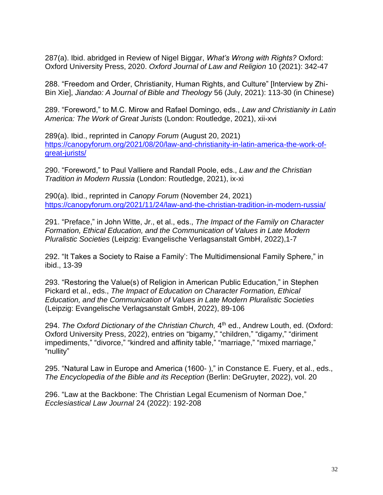287(a). Ibid. abridged in Review of Nigel Biggar, *What's Wrong with Rights?* Oxford: Oxford University Press, 2020. *Oxford Journal of Law and Religion* 10 (2021): 342-47

288. "Freedom and Order, Christianity, Human Rights, and Culture" [Interview by Zhi-Bin Xie], *Jiandao: A Journal of Bible and Theology* 56 (July, 2021): 113-30 (in Chinese)

289. "Foreword," to M.C. Mirow and Rafael Domingo, eds., *Law and Christianity in Latin America: The Work of Great Jurists* (London: Routledge, 2021), xii-xvi

289(a). Ibid., reprinted in *Canopy Forum* (August 20, 2021) [https://canopyforum.org/2021/08/20/law-and-christianity-in-latin-america-the-work-of](https://canopyforum.org/2021/08/20/law-and-christianity-in-latin-america-the-work-of-great-jurists/)[great-jurists/](https://canopyforum.org/2021/08/20/law-and-christianity-in-latin-america-the-work-of-great-jurists/)

290. "Foreword," to Paul Valliere and Randall Poole, eds., *Law and the Christian Tradition in Modern Russia* (London: Routledge, 2021), ix-xi

290(a). Ibid., reprinted in *Canopy Forum* (November 24, 2021) <https://canopyforum.org/2021/11/24/law-and-the-christian-tradition-in-modern-russia/>

291. "Preface," in John Witte, Jr., et al., eds., *The Impact of the Family on Character Formation, Ethical Education, and the Communication of Values in Late Modern Pluralistic Societies* (Leipzig: Evangelische Verlagsanstalt GmbH, 2022),1-7

292. "It Takes a Society to Raise a Family': The Multidimensional Family Sphere," in ibid., 13-39

293. "Restoring the Value(s) of Religion in American Public Education," in Stephen Pickard et al., eds., *The Impact of Education on Character Formation, Ethical Education, and the Communication of Values in Late Modern Pluralistic Societies*  (Leipzig: Evangelische Verlagsanstalt GmbH, 2022), 89-106

294. *The Oxford Dictionary of the Christian Church,* 4<sup>th</sup> ed., Andrew Louth, ed. (Oxford: Oxford University Press, 2022), entries on "bigamy," "children," "digamy," "diriment impediments," "divorce," "kindred and affinity table," "marriage," "mixed marriage," "nullity"

295. "Natural Law in Europe and America (1600- )," in Constance E. Fuery, et al., eds., *The Encyclopedia of the Bible and its Reception* (Berlin: DeGruyter, 2022), vol. 20

296. "Law at the Backbone: The Christian Legal Ecumenism of Norman Doe," *Ecclesiastical Law Journal* 24 (2022): 192-208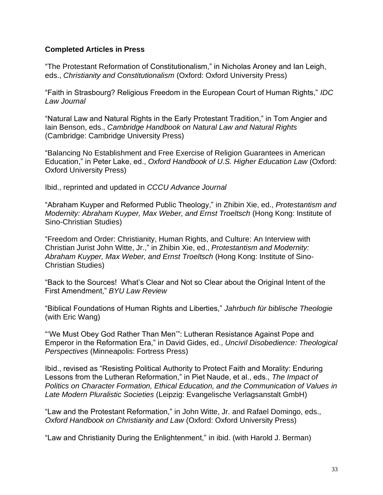## **Completed Articles in Press**

"The Protestant Reformation of Constitutionalism," in Nicholas Aroney and Ian Leigh, eds., *Christianity and Constitutionalism* (Oxford: Oxford University Press)

"Faith in Strasbourg? Religious Freedom in the European Court of Human Rights," *IDC Law Journal*

"Natural Law and Natural Rights in the Early Protestant Tradition," in Tom Angier and Iain Benson, eds., *Cambridge Handbook on Natural Law and Natural Rights*  (Cambridge: Cambridge University Press)

"Balancing No Establishment and Free Exercise of Religion Guarantees in American Education," in Peter Lake, ed., *Oxford Handbook of U.S. Higher Education Law* (Oxford: Oxford University Press)

Ibid., reprinted and updated in *CCCU Advance Journal*

"Abraham Kuyper and Reformed Public Theology," in Zhibin Xie, ed., *Protestantism and Modernity: Abraham Kuyper, Max Weber, and Ernst Troeltsch* (Hong Kong: Institute of Sino-Christian Studies)

"Freedom and Order: Christianity, Human Rights, and Culture: An Interview with Christian Jurist John Witte, Jr.," in Zhibin Xie, ed., *Protestantism and Modernity: Abraham Kuyper, Max Weber, and Ernst Troeltsch* (Hong Kong: Institute of Sino-Christian Studies)

"Back to the Sources! What's Clear and Not so Clear about the Original Intent of the First Amendment," *BYU Law Review* 

"Biblical Foundations of Human Rights and Liberties," *Jahrbuch für biblische Theologie* (with Eric Wang)

"'We Must Obey God Rather Than Men'": Lutheran Resistance Against Pope and Emperor in the Reformation Era," in David Gides, ed., *Uncivil Disobedience: Theological Perspectives* (Minneapolis: Fortress Press)

Ibid., revised as "Resisting Political Authority to Protect Faith and Morality: Enduring Lessons from the Lutheran Reformation," in Piet Naude, et al., eds., *The Impact of Politics on Character Formation, Ethical Education, and the Communication of Values in Late Modern Pluralistic Societies* (Leipzig: Evangelische Verlagsanstalt GmbH)

"Law and the Protestant Reformation," in John Witte, Jr. and Rafael Domingo, eds., *Oxford Handbook on Christianity and Law* (Oxford: Oxford University Press)

"Law and Christianity During the Enlightenment," in ibid. (with Harold J. Berman)